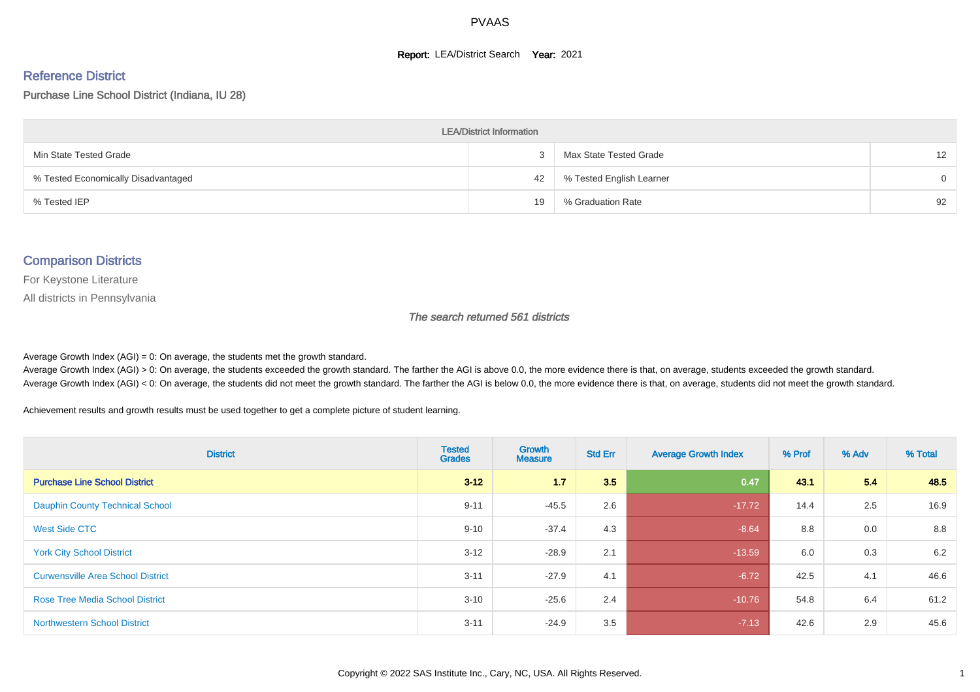#### **Report: LEA/District Search Year: 2021**

#### Reference District

#### Purchase Line School District (Indiana, IU 28)

| <b>LEA/District Information</b>     |    |                          |          |  |  |  |  |  |  |  |
|-------------------------------------|----|--------------------------|----------|--|--|--|--|--|--|--|
| Min State Tested Grade              |    | Max State Tested Grade   | 12       |  |  |  |  |  |  |  |
| % Tested Economically Disadvantaged | 42 | % Tested English Learner | $\Omega$ |  |  |  |  |  |  |  |
| % Tested IEP                        | 19 | % Graduation Rate        | 92       |  |  |  |  |  |  |  |

#### Comparison Districts

For Keystone Literature

All districts in Pennsylvania

The search returned 561 districts

Average Growth Index  $(AGI) = 0$ : On average, the students met the growth standard.

Average Growth Index (AGI) > 0: On average, the students exceeded the growth standard. The farther the AGI is above 0.0, the more evidence there is that, on average, students exceeded the growth standard. Average Growth Index (AGI) < 0: On average, the students did not meet the growth standard. The farther the AGI is below 0.0, the more evidence there is that, on average, students did not meet the growth standard.

Achievement results and growth results must be used together to get a complete picture of student learning.

| <b>District</b>                          | <b>Tested</b><br><b>Grades</b> | <b>Growth</b><br><b>Measure</b> | <b>Std Err</b> | <b>Average Growth Index</b> | % Prof | % Adv | % Total |
|------------------------------------------|--------------------------------|---------------------------------|----------------|-----------------------------|--------|-------|---------|
| <b>Purchase Line School District</b>     | $3 - 12$                       | 1.7                             | 3.5            | 0.47                        | 43.1   | 5.4   | 48.5    |
| <b>Dauphin County Technical School</b>   | $9 - 11$                       | $-45.5$                         | 2.6            | $-17.72$                    | 14.4   | 2.5   | 16.9    |
| <b>West Side CTC</b>                     | $9 - 10$                       | $-37.4$                         | 4.3            | $-8.64$                     | 8.8    | 0.0   | 8.8     |
| <b>York City School District</b>         | $3 - 12$                       | $-28.9$                         | 2.1            | $-13.59$                    | 6.0    | 0.3   | 6.2     |
| <b>Curwensville Area School District</b> | $3 - 11$                       | $-27.9$                         | 4.1            | $-6.72$                     | 42.5   | 4.1   | 46.6    |
| <b>Rose Tree Media School District</b>   | $3 - 10$                       | $-25.6$                         | 2.4            | $-10.76$                    | 54.8   | 6.4   | 61.2    |
| <b>Northwestern School District</b>      | $3 - 11$                       | $-24.9$                         | 3.5            | $-7.13$                     | 42.6   | 2.9   | 45.6    |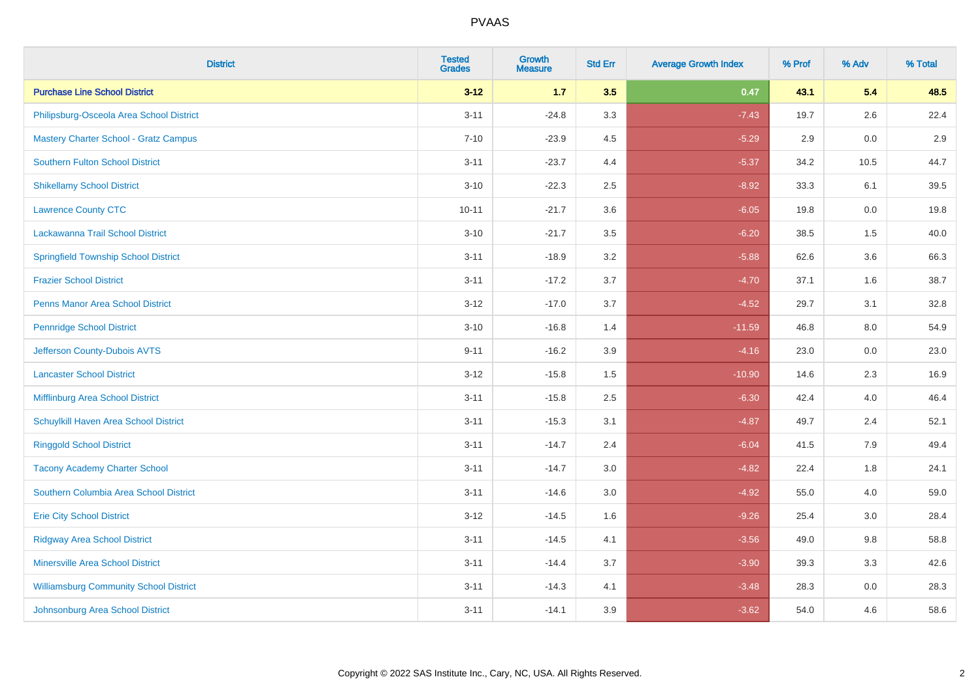| <b>District</b>                               | <b>Tested</b><br><b>Grades</b> | <b>Growth</b><br><b>Measure</b> | <b>Std Err</b> | <b>Average Growth Index</b> | % Prof | % Adv   | % Total |
|-----------------------------------------------|--------------------------------|---------------------------------|----------------|-----------------------------|--------|---------|---------|
| <b>Purchase Line School District</b>          | $3 - 12$                       | $1.7$                           | 3.5            | 0.47                        | 43.1   | 5.4     | 48.5    |
| Philipsburg-Osceola Area School District      | $3 - 11$                       | $-24.8$                         | 3.3            | $-7.43$                     | 19.7   | $2.6\,$ | 22.4    |
| <b>Mastery Charter School - Gratz Campus</b>  | $7 - 10$                       | $-23.9$                         | 4.5            | $-5.29$                     | 2.9    | 0.0     | 2.9     |
| <b>Southern Fulton School District</b>        | $3 - 11$                       | $-23.7$                         | 4.4            | $-5.37$                     | 34.2   | 10.5    | 44.7    |
| <b>Shikellamy School District</b>             | $3 - 10$                       | $-22.3$                         | 2.5            | $-8.92$                     | 33.3   | 6.1     | 39.5    |
| <b>Lawrence County CTC</b>                    | $10 - 11$                      | $-21.7$                         | 3.6            | $-6.05$                     | 19.8   | 0.0     | 19.8    |
| Lackawanna Trail School District              | $3 - 10$                       | $-21.7$                         | 3.5            | $-6.20$                     | 38.5   | 1.5     | 40.0    |
| <b>Springfield Township School District</b>   | $3 - 11$                       | $-18.9$                         | 3.2            | $-5.88$                     | 62.6   | 3.6     | 66.3    |
| <b>Frazier School District</b>                | $3 - 11$                       | $-17.2$                         | 3.7            | $-4.70$                     | 37.1   | 1.6     | 38.7    |
| <b>Penns Manor Area School District</b>       | $3 - 12$                       | $-17.0$                         | 3.7            | $-4.52$                     | 29.7   | 3.1     | 32.8    |
| <b>Pennridge School District</b>              | $3 - 10$                       | $-16.8$                         | 1.4            | $-11.59$                    | 46.8   | 8.0     | 54.9    |
| Jefferson County-Dubois AVTS                  | $9 - 11$                       | $-16.2$                         | 3.9            | $-4.16$                     | 23.0   | 0.0     | 23.0    |
| <b>Lancaster School District</b>              | $3 - 12$                       | $-15.8$                         | $1.5$          | $-10.90$                    | 14.6   | $2.3\,$ | 16.9    |
| <b>Mifflinburg Area School District</b>       | $3 - 11$                       | $-15.8$                         | 2.5            | $-6.30$                     | 42.4   | 4.0     | 46.4    |
| Schuylkill Haven Area School District         | $3 - 11$                       | $-15.3$                         | 3.1            | $-4.87$                     | 49.7   | 2.4     | 52.1    |
| <b>Ringgold School District</b>               | $3 - 11$                       | $-14.7$                         | 2.4            | $-6.04$                     | 41.5   | 7.9     | 49.4    |
| <b>Tacony Academy Charter School</b>          | $3 - 11$                       | $-14.7$                         | 3.0            | $-4.82$                     | 22.4   | 1.8     | 24.1    |
| Southern Columbia Area School District        | $3 - 11$                       | $-14.6$                         | 3.0            | $-4.92$                     | 55.0   | 4.0     | 59.0    |
| <b>Erie City School District</b>              | $3 - 12$                       | $-14.5$                         | 1.6            | $-9.26$                     | 25.4   | 3.0     | 28.4    |
| <b>Ridgway Area School District</b>           | $3 - 11$                       | $-14.5$                         | 4.1            | $-3.56$                     | 49.0   | 9.8     | 58.8    |
| <b>Minersville Area School District</b>       | $3 - 11$                       | $-14.4$                         | 3.7            | $-3.90$                     | 39.3   | 3.3     | 42.6    |
| <b>Williamsburg Community School District</b> | $3 - 11$                       | $-14.3$                         | 4.1            | $-3.48$                     | 28.3   | 0.0     | 28.3    |
| Johnsonburg Area School District              | $3 - 11$                       | $-14.1$                         | 3.9            | $-3.62$                     | 54.0   | 4.6     | 58.6    |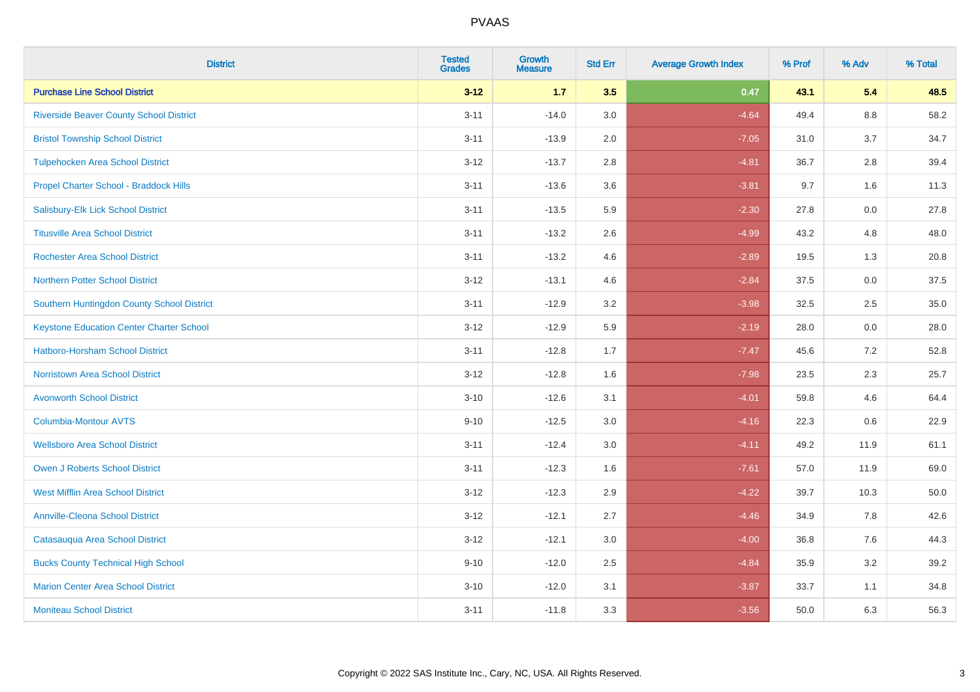| <b>District</b>                                 | <b>Tested</b><br><b>Grades</b> | <b>Growth</b><br><b>Measure</b> | <b>Std Err</b> | <b>Average Growth Index</b> | % Prof | % Adv   | % Total |
|-------------------------------------------------|--------------------------------|---------------------------------|----------------|-----------------------------|--------|---------|---------|
| <b>Purchase Line School District</b>            | $3 - 12$                       | $1.7$                           | 3.5            | 0.47                        | 43.1   | 5.4     | 48.5    |
| <b>Riverside Beaver County School District</b>  | $3 - 11$                       | $-14.0$                         | 3.0            | $-4.64$                     | 49.4   | $8.8\,$ | 58.2    |
| <b>Bristol Township School District</b>         | $3 - 11$                       | $-13.9$                         | 2.0            | $-7.05$                     | 31.0   | 3.7     | 34.7    |
| <b>Tulpehocken Area School District</b>         | $3 - 12$                       | $-13.7$                         | 2.8            | $-4.81$                     | 36.7   | 2.8     | 39.4    |
| Propel Charter School - Braddock Hills          | $3 - 11$                       | $-13.6$                         | 3.6            | $-3.81$                     | 9.7    | 1.6     | 11.3    |
| Salisbury-Elk Lick School District              | $3 - 11$                       | $-13.5$                         | 5.9            | $-2.30$                     | 27.8   | 0.0     | 27.8    |
| <b>Titusville Area School District</b>          | $3 - 11$                       | $-13.2$                         | 2.6            | $-4.99$                     | 43.2   | 4.8     | 48.0    |
| <b>Rochester Area School District</b>           | $3 - 11$                       | $-13.2$                         | 4.6            | $-2.89$                     | 19.5   | 1.3     | 20.8    |
| <b>Northern Potter School District</b>          | $3 - 12$                       | $-13.1$                         | 4.6            | $-2.84$                     | 37.5   | 0.0     | 37.5    |
| Southern Huntingdon County School District      | $3 - 11$                       | $-12.9$                         | 3.2            | $-3.98$                     | 32.5   | $2.5\,$ | 35.0    |
| <b>Keystone Education Center Charter School</b> | $3 - 12$                       | $-12.9$                         | 5.9            | $-2.19$                     | 28.0   | 0.0     | 28.0    |
| <b>Hatboro-Horsham School District</b>          | $3 - 11$                       | $-12.8$                         | 1.7            | $-7.47$                     | 45.6   | 7.2     | 52.8    |
| <b>Norristown Area School District</b>          | $3 - 12$                       | $-12.8$                         | 1.6            | $-7.98$                     | 23.5   | 2.3     | 25.7    |
| <b>Avonworth School District</b>                | $3 - 10$                       | $-12.6$                         | 3.1            | $-4.01$                     | 59.8   | 4.6     | 64.4    |
| Columbia-Montour AVTS                           | $9 - 10$                       | $-12.5$                         | 3.0            | $-4.16$                     | 22.3   | 0.6     | 22.9    |
| <b>Wellsboro Area School District</b>           | $3 - 11$                       | $-12.4$                         | 3.0            | $-4.11$                     | 49.2   | 11.9    | 61.1    |
| <b>Owen J Roberts School District</b>           | $3 - 11$                       | $-12.3$                         | 1.6            | $-7.61$                     | 57.0   | 11.9    | 69.0    |
| <b>West Mifflin Area School District</b>        | $3 - 12$                       | $-12.3$                         | 2.9            | $-4.22$                     | 39.7   | 10.3    | 50.0    |
| <b>Annville-Cleona School District</b>          | $3 - 12$                       | $-12.1$                         | 2.7            | $-4.46$                     | 34.9   | 7.8     | 42.6    |
| Catasauqua Area School District                 | $3 - 12$                       | $-12.1$                         | 3.0            | $-4.00$                     | 36.8   | 7.6     | 44.3    |
| <b>Bucks County Technical High School</b>       | $9 - 10$                       | $-12.0$                         | 2.5            | $-4.84$                     | 35.9   | 3.2     | 39.2    |
| <b>Marion Center Area School District</b>       | $3 - 10$                       | $-12.0$                         | 3.1            | $-3.87$                     | 33.7   | 1.1     | 34.8    |
| <b>Moniteau School District</b>                 | $3 - 11$                       | $-11.8$                         | 3.3            | $-3.56$                     | 50.0   | 6.3     | 56.3    |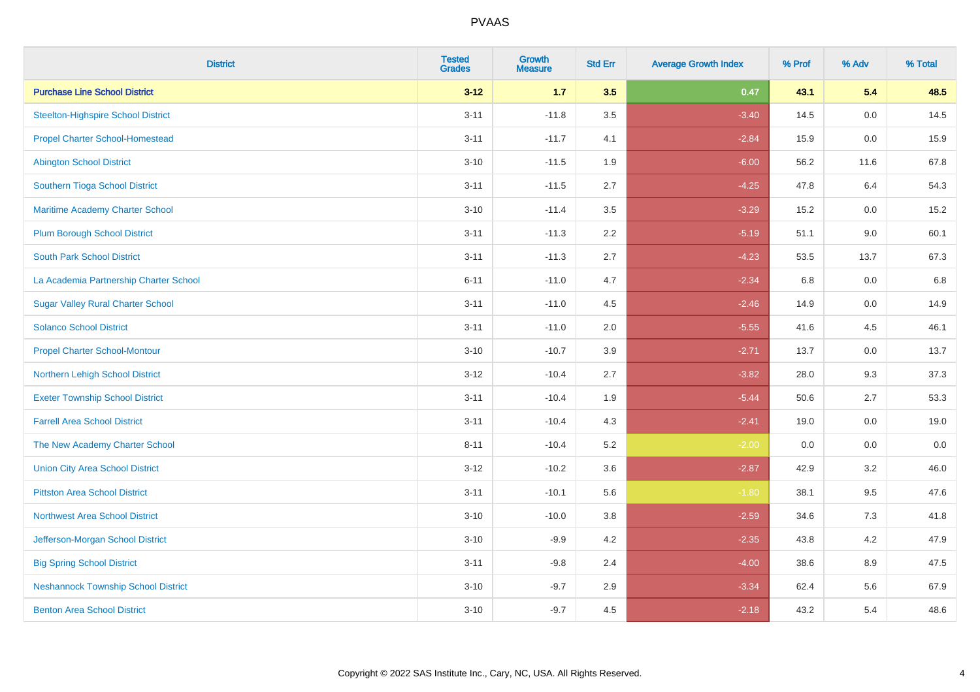| <b>District</b>                            | <b>Tested</b><br><b>Grades</b> | <b>Growth</b><br><b>Measure</b> | <b>Std Err</b> | <b>Average Growth Index</b> | % Prof | % Adv   | % Total |
|--------------------------------------------|--------------------------------|---------------------------------|----------------|-----------------------------|--------|---------|---------|
| <b>Purchase Line School District</b>       | $3 - 12$                       | $1.7$                           | 3.5            | 0.47                        | 43.1   | 5.4     | 48.5    |
| <b>Steelton-Highspire School District</b>  | $3 - 11$                       | $-11.8$                         | 3.5            | $-3.40$                     | 14.5   | 0.0     | 14.5    |
| <b>Propel Charter School-Homestead</b>     | $3 - 11$                       | $-11.7$                         | 4.1            | $-2.84$                     | 15.9   | 0.0     | 15.9    |
| <b>Abington School District</b>            | $3 - 10$                       | $-11.5$                         | 1.9            | $-6.00$                     | 56.2   | 11.6    | 67.8    |
| Southern Tioga School District             | $3 - 11$                       | $-11.5$                         | 2.7            | $-4.25$                     | 47.8   | 6.4     | 54.3    |
| Maritime Academy Charter School            | $3 - 10$                       | $-11.4$                         | 3.5            | $-3.29$                     | 15.2   | 0.0     | 15.2    |
| <b>Plum Borough School District</b>        | $3 - 11$                       | $-11.3$                         | 2.2            | $-5.19$                     | 51.1   | 9.0     | 60.1    |
| <b>South Park School District</b>          | $3 - 11$                       | $-11.3$                         | 2.7            | $-4.23$                     | 53.5   | 13.7    | 67.3    |
| La Academia Partnership Charter School     | $6 - 11$                       | $-11.0$                         | 4.7            | $-2.34$                     | 6.8    | 0.0     | 6.8     |
| <b>Sugar Valley Rural Charter School</b>   | $3 - 11$                       | $-11.0$                         | 4.5            | $-2.46$                     | 14.9   | 0.0     | 14.9    |
| <b>Solanco School District</b>             | $3 - 11$                       | $-11.0$                         | 2.0            | $-5.55$                     | 41.6   | 4.5     | 46.1    |
| <b>Propel Charter School-Montour</b>       | $3 - 10$                       | $-10.7$                         | 3.9            | $-2.71$                     | 13.7   | 0.0     | 13.7    |
| Northern Lehigh School District            | $3 - 12$                       | $-10.4$                         | 2.7            | $-3.82$                     | 28.0   | 9.3     | 37.3    |
| <b>Exeter Township School District</b>     | $3 - 11$                       | $-10.4$                         | 1.9            | $-5.44$                     | 50.6   | 2.7     | 53.3    |
| <b>Farrell Area School District</b>        | $3 - 11$                       | $-10.4$                         | 4.3            | $-2.41$                     | 19.0   | 0.0     | 19.0    |
| The New Academy Charter School             | $8 - 11$                       | $-10.4$                         | 5.2            | $-2.00$                     | 0.0    | $0.0\,$ | $0.0\,$ |
| <b>Union City Area School District</b>     | $3 - 12$                       | $-10.2$                         | 3.6            | $-2.87$                     | 42.9   | 3.2     | 46.0    |
| <b>Pittston Area School District</b>       | $3 - 11$                       | $-10.1$                         | 5.6            | $-1.80$                     | 38.1   | 9.5     | 47.6    |
| <b>Northwest Area School District</b>      | $3 - 10$                       | $-10.0$                         | 3.8            | $-2.59$                     | 34.6   | 7.3     | 41.8    |
| Jefferson-Morgan School District           | $3 - 10$                       | $-9.9$                          | 4.2            | $-2.35$                     | 43.8   | 4.2     | 47.9    |
| <b>Big Spring School District</b>          | $3 - 11$                       | $-9.8$                          | 2.4            | $-4.00$                     | 38.6   | 8.9     | 47.5    |
| <b>Neshannock Township School District</b> | $3 - 10$                       | $-9.7$                          | 2.9            | $-3.34$                     | 62.4   | 5.6     | 67.9    |
| <b>Benton Area School District</b>         | $3 - 10$                       | $-9.7$                          | 4.5            | $-2.18$                     | 43.2   | 5.4     | 48.6    |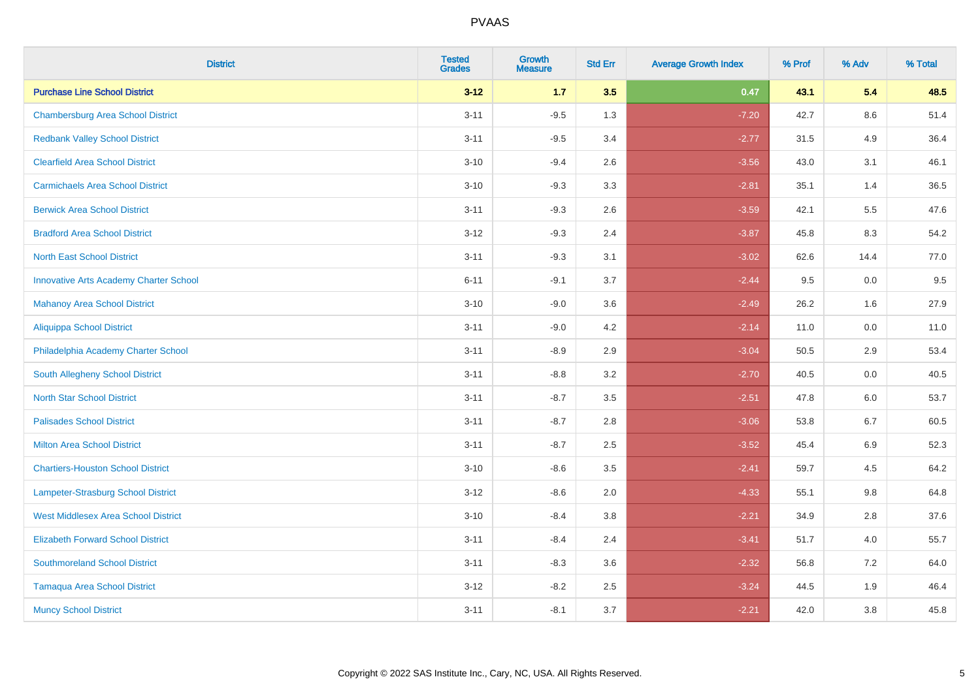| <b>District</b>                               | <b>Tested</b><br><b>Grades</b> | <b>Growth</b><br><b>Measure</b> | <b>Std Err</b> | <b>Average Growth Index</b> | % Prof | % Adv   | % Total |
|-----------------------------------------------|--------------------------------|---------------------------------|----------------|-----------------------------|--------|---------|---------|
| <b>Purchase Line School District</b>          | $3 - 12$                       | $1.7$                           | 3.5            | 0.47                        | 43.1   | 5.4     | 48.5    |
| <b>Chambersburg Area School District</b>      | $3 - 11$                       | $-9.5$                          | 1.3            | $-7.20$                     | 42.7   | $8.6\,$ | 51.4    |
| <b>Redbank Valley School District</b>         | $3 - 11$                       | $-9.5$                          | 3.4            | $-2.77$                     | 31.5   | 4.9     | 36.4    |
| <b>Clearfield Area School District</b>        | $3 - 10$                       | $-9.4$                          | 2.6            | $-3.56$                     | 43.0   | 3.1     | 46.1    |
| <b>Carmichaels Area School District</b>       | $3 - 10$                       | $-9.3$                          | 3.3            | $-2.81$                     | 35.1   | 1.4     | 36.5    |
| <b>Berwick Area School District</b>           | $3 - 11$                       | $-9.3$                          | 2.6            | $-3.59$                     | 42.1   | 5.5     | 47.6    |
| <b>Bradford Area School District</b>          | $3 - 12$                       | $-9.3$                          | 2.4            | $-3.87$                     | 45.8   | 8.3     | 54.2    |
| <b>North East School District</b>             | $3 - 11$                       | $-9.3$                          | 3.1            | $-3.02$                     | 62.6   | 14.4    | 77.0    |
| <b>Innovative Arts Academy Charter School</b> | $6 - 11$                       | $-9.1$                          | 3.7            | $-2.44$                     | 9.5    | 0.0     | 9.5     |
| <b>Mahanoy Area School District</b>           | $3 - 10$                       | $-9.0$                          | 3.6            | $-2.49$                     | 26.2   | 1.6     | 27.9    |
| Aliquippa School District                     | $3 - 11$                       | $-9.0$                          | 4.2            | $-2.14$                     | 11.0   | 0.0     | 11.0    |
| Philadelphia Academy Charter School           | $3 - 11$                       | $-8.9$                          | 2.9            | $-3.04$                     | 50.5   | 2.9     | 53.4    |
| South Allegheny School District               | $3 - 11$                       | $-8.8$                          | 3.2            | $-2.70$                     | 40.5   | 0.0     | 40.5    |
| <b>North Star School District</b>             | $3 - 11$                       | $-8.7$                          | 3.5            | $-2.51$                     | 47.8   | 6.0     | 53.7    |
| <b>Palisades School District</b>              | $3 - 11$                       | $-8.7$                          | 2.8            | $-3.06$                     | 53.8   | 6.7     | 60.5    |
| <b>Milton Area School District</b>            | $3 - 11$                       | $-8.7$                          | 2.5            | $-3.52$                     | 45.4   | $6.9\,$ | 52.3    |
| <b>Chartiers-Houston School District</b>      | $3 - 10$                       | $-8.6$                          | 3.5            | $-2.41$                     | 59.7   | 4.5     | 64.2    |
| Lampeter-Strasburg School District            | $3 - 12$                       | $-8.6$                          | 2.0            | $-4.33$                     | 55.1   | 9.8     | 64.8    |
| <b>West Middlesex Area School District</b>    | $3 - 10$                       | $-8.4$                          | 3.8            | $-2.21$                     | 34.9   | 2.8     | 37.6    |
| <b>Elizabeth Forward School District</b>      | $3 - 11$                       | $-8.4$                          | 2.4            | $-3.41$                     | 51.7   | 4.0     | 55.7    |
| <b>Southmoreland School District</b>          | $3 - 11$                       | $-8.3$                          | 3.6            | $-2.32$                     | 56.8   | 7.2     | 64.0    |
| <b>Tamaqua Area School District</b>           | $3 - 12$                       | $-8.2$                          | 2.5            | $-3.24$                     | 44.5   | 1.9     | 46.4    |
| <b>Muncy School District</b>                  | $3 - 11$                       | $-8.1$                          | 3.7            | $-2.21$                     | 42.0   | 3.8     | 45.8    |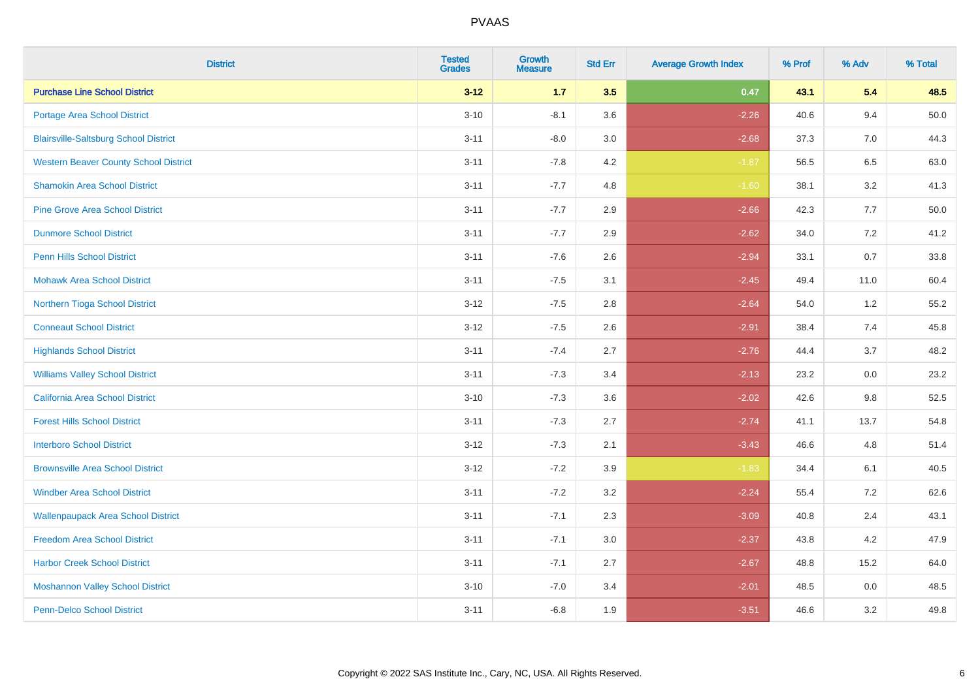| <b>District</b>                              | <b>Tested</b><br><b>Grades</b> | <b>Growth</b><br><b>Measure</b> | <b>Std Err</b> | <b>Average Growth Index</b> | % Prof | % Adv   | % Total  |
|----------------------------------------------|--------------------------------|---------------------------------|----------------|-----------------------------|--------|---------|----------|
| <b>Purchase Line School District</b>         | $3 - 12$                       | $1.7$                           | 3.5            | 0.47                        | 43.1   | 5.4     | 48.5     |
| Portage Area School District                 | $3 - 10$                       | $-8.1$                          | 3.6            | $-2.26$                     | 40.6   | 9.4     | $50.0\,$ |
| <b>Blairsville-Saltsburg School District</b> | $3 - 11$                       | $-8.0$                          | 3.0            | $-2.68$                     | 37.3   | 7.0     | 44.3     |
| <b>Western Beaver County School District</b> | $3 - 11$                       | $-7.8$                          | 4.2            | $-1.87$                     | 56.5   | 6.5     | 63.0     |
| <b>Shamokin Area School District</b>         | $3 - 11$                       | $-7.7$                          | 4.8            | $-1.60$                     | 38.1   | 3.2     | 41.3     |
| <b>Pine Grove Area School District</b>       | $3 - 11$                       | $-7.7$                          | 2.9            | $-2.66$                     | 42.3   | 7.7     | 50.0     |
| <b>Dunmore School District</b>               | $3 - 11$                       | $-7.7$                          | 2.9            | $-2.62$                     | 34.0   | 7.2     | 41.2     |
| <b>Penn Hills School District</b>            | $3 - 11$                       | $-7.6$                          | 2.6            | $-2.94$                     | 33.1   | 0.7     | 33.8     |
| <b>Mohawk Area School District</b>           | $3 - 11$                       | $-7.5$                          | 3.1            | $-2.45$                     | 49.4   | 11.0    | 60.4     |
| Northern Tioga School District               | $3 - 12$                       | $-7.5$                          | 2.8            | $-2.64$                     | 54.0   | 1.2     | 55.2     |
| <b>Conneaut School District</b>              | $3 - 12$                       | $-7.5$                          | 2.6            | $-2.91$                     | 38.4   | 7.4     | 45.8     |
| <b>Highlands School District</b>             | $3 - 11$                       | $-7.4$                          | 2.7            | $-2.76$                     | 44.4   | 3.7     | 48.2     |
| <b>Williams Valley School District</b>       | $3 - 11$                       | $-7.3$                          | 3.4            | $-2.13$                     | 23.2   | 0.0     | 23.2     |
| <b>California Area School District</b>       | $3 - 10$                       | $-7.3$                          | 3.6            | $-2.02$                     | 42.6   | 9.8     | 52.5     |
| <b>Forest Hills School District</b>          | $3 - 11$                       | $-7.3$                          | 2.7            | $-2.74$                     | 41.1   | 13.7    | 54.8     |
| <b>Interboro School District</b>             | $3 - 12$                       | $-7.3$                          | 2.1            | $-3.43$                     | 46.6   | 4.8     | 51.4     |
| <b>Brownsville Area School District</b>      | $3 - 12$                       | $-7.2$                          | 3.9            | $-1.83$                     | 34.4   | 6.1     | 40.5     |
| <b>Windber Area School District</b>          | $3 - 11$                       | $-7.2$                          | 3.2            | $-2.24$                     | 55.4   | 7.2     | 62.6     |
| <b>Wallenpaupack Area School District</b>    | $3 - 11$                       | $-7.1$                          | 2.3            | $-3.09$                     | 40.8   | 2.4     | 43.1     |
| <b>Freedom Area School District</b>          | $3 - 11$                       | $-7.1$                          | 3.0            | $-2.37$                     | 43.8   | 4.2     | 47.9     |
| <b>Harbor Creek School District</b>          | $3 - 11$                       | $-7.1$                          | 2.7            | $-2.67$                     | 48.8   | 15.2    | 64.0     |
| <b>Moshannon Valley School District</b>      | $3 - 10$                       | $-7.0$                          | 3.4            | $-2.01$                     | 48.5   | $0.0\,$ | 48.5     |
| <b>Penn-Delco School District</b>            | $3 - 11$                       | $-6.8$                          | 1.9            | $-3.51$                     | 46.6   | 3.2     | 49.8     |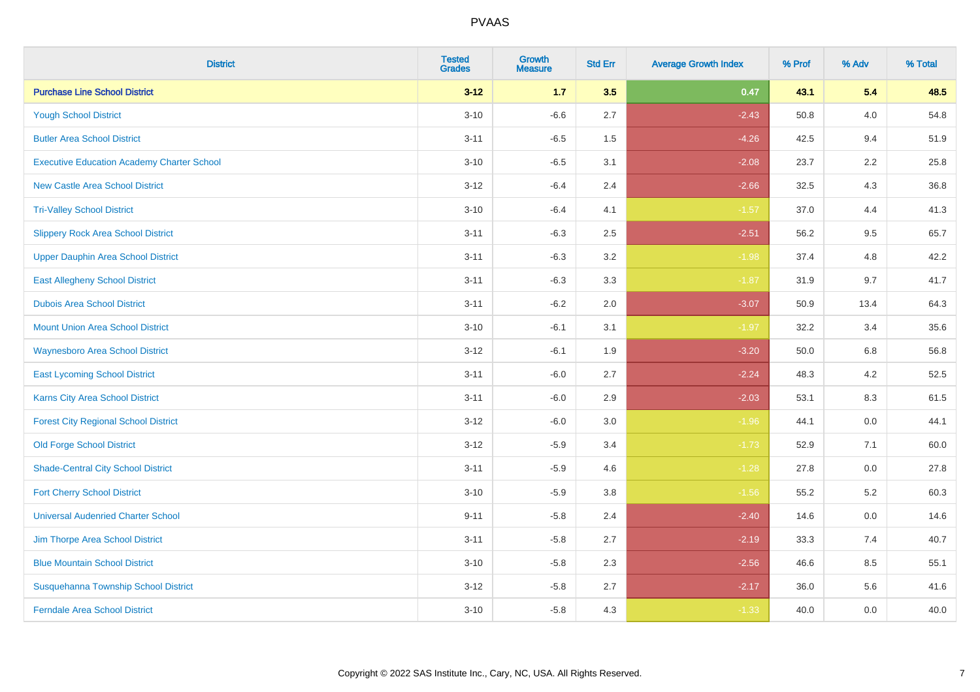| <b>District</b>                                   | <b>Tested</b><br><b>Grades</b> | <b>Growth</b><br><b>Measure</b> | <b>Std Err</b> | <b>Average Growth Index</b> | % Prof | % Adv   | % Total |
|---------------------------------------------------|--------------------------------|---------------------------------|----------------|-----------------------------|--------|---------|---------|
| <b>Purchase Line School District</b>              | $3 - 12$                       | $1.7$                           | 3.5            | 0.47                        | 43.1   | 5.4     | 48.5    |
| <b>Yough School District</b>                      | $3 - 10$                       | $-6.6$                          | 2.7            | $-2.43$                     | 50.8   | 4.0     | 54.8    |
| <b>Butler Area School District</b>                | $3 - 11$                       | $-6.5$                          | 1.5            | $-4.26$                     | 42.5   | 9.4     | 51.9    |
| <b>Executive Education Academy Charter School</b> | $3 - 10$                       | $-6.5$                          | 3.1            | $-2.08$                     | 23.7   | 2.2     | 25.8    |
| <b>New Castle Area School District</b>            | $3 - 12$                       | $-6.4$                          | 2.4            | $-2.66$                     | 32.5   | 4.3     | 36.8    |
| <b>Tri-Valley School District</b>                 | $3 - 10$                       | $-6.4$                          | 4.1            | $-1.57$                     | 37.0   | 4.4     | 41.3    |
| <b>Slippery Rock Area School District</b>         | $3 - 11$                       | $-6.3$                          | 2.5            | $-2.51$                     | 56.2   | 9.5     | 65.7    |
| <b>Upper Dauphin Area School District</b>         | $3 - 11$                       | $-6.3$                          | 3.2            | $-1.98$                     | 37.4   | 4.8     | 42.2    |
| <b>East Allegheny School District</b>             | $3 - 11$                       | $-6.3$                          | 3.3            | $-1.87$                     | 31.9   | 9.7     | 41.7    |
| <b>Dubois Area School District</b>                | $3 - 11$                       | $-6.2$                          | 2.0            | $-3.07$                     | 50.9   | 13.4    | 64.3    |
| <b>Mount Union Area School District</b>           | $3 - 10$                       | $-6.1$                          | 3.1            | $-1.97$                     | 32.2   | 3.4     | 35.6    |
| <b>Waynesboro Area School District</b>            | $3 - 12$                       | $-6.1$                          | 1.9            | $-3.20$                     | 50.0   | 6.8     | 56.8    |
| <b>East Lycoming School District</b>              | $3 - 11$                       | $-6.0$                          | 2.7            | $-2.24$                     | 48.3   | $4.2\,$ | 52.5    |
| <b>Karns City Area School District</b>            | $3 - 11$                       | $-6.0$                          | 2.9            | $-2.03$                     | 53.1   | 8.3     | 61.5    |
| <b>Forest City Regional School District</b>       | $3 - 12$                       | $-6.0$                          | 3.0            | $-1.96$                     | 44.1   | $0.0\,$ | 44.1    |
| <b>Old Forge School District</b>                  | $3 - 12$                       | $-5.9$                          | 3.4            | $-1.73$                     | 52.9   | 7.1     | 60.0    |
| <b>Shade-Central City School District</b>         | $3 - 11$                       | $-5.9$                          | 4.6            | $-1.28$                     | 27.8   | 0.0     | 27.8    |
| <b>Fort Cherry School District</b>                | $3 - 10$                       | $-5.9$                          | 3.8            | $-1.56$                     | 55.2   | 5.2     | 60.3    |
| <b>Universal Audenried Charter School</b>         | $9 - 11$                       | $-5.8$                          | 2.4            | $-2.40$                     | 14.6   | $0.0\,$ | 14.6    |
| Jim Thorpe Area School District                   | $3 - 11$                       | $-5.8$                          | 2.7            | $-2.19$                     | 33.3   | 7.4     | 40.7    |
| <b>Blue Mountain School District</b>              | $3 - 10$                       | $-5.8$                          | 2.3            | $-2.56$                     | 46.6   | 8.5     | 55.1    |
| Susquehanna Township School District              | $3 - 12$                       | $-5.8$                          | 2.7            | $-2.17$                     | 36.0   | 5.6     | 41.6    |
| <b>Ferndale Area School District</b>              | $3 - 10$                       | $-5.8$                          | 4.3            | $-1.33$                     | 40.0   | 0.0     | 40.0    |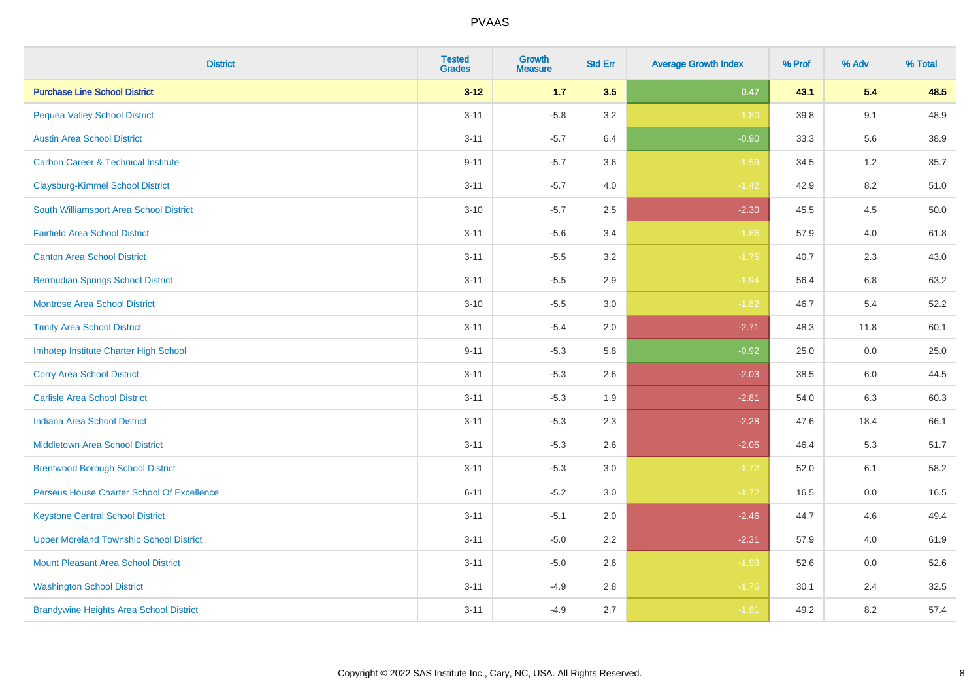| <b>District</b>                                | <b>Tested</b><br><b>Grades</b> | <b>Growth</b><br><b>Measure</b> | <b>Std Err</b> | <b>Average Growth Index</b> | % Prof | % Adv | % Total |
|------------------------------------------------|--------------------------------|---------------------------------|----------------|-----------------------------|--------|-------|---------|
| <b>Purchase Line School District</b>           | $3 - 12$                       | $1.7$                           | 3.5            | 0.47                        | 43.1   | 5.4   | 48.5    |
| <b>Pequea Valley School District</b>           | $3 - 11$                       | $-5.8$                          | 3.2            | $-1.80$                     | 39.8   | 9.1   | 48.9    |
| <b>Austin Area School District</b>             | $3 - 11$                       | $-5.7$                          | 6.4            | $-0.90$                     | 33.3   | 5.6   | 38.9    |
| <b>Carbon Career &amp; Technical Institute</b> | $9 - 11$                       | $-5.7$                          | 3.6            | $-1.59$                     | 34.5   | $1.2$ | 35.7    |
| <b>Claysburg-Kimmel School District</b>        | $3 - 11$                       | $-5.7$                          | 4.0            | $-1.42$                     | 42.9   | 8.2   | 51.0    |
| South Williamsport Area School District        | $3 - 10$                       | $-5.7$                          | 2.5            | $-2.30$                     | 45.5   | 4.5   | 50.0    |
| <b>Fairfield Area School District</b>          | $3 - 11$                       | $-5.6$                          | 3.4            | $-1.66$                     | 57.9   | 4.0   | 61.8    |
| <b>Canton Area School District</b>             | $3 - 11$                       | $-5.5$                          | 3.2            | $-1.75$                     | 40.7   | 2.3   | 43.0    |
| <b>Bermudian Springs School District</b>       | $3 - 11$                       | $-5.5$                          | 2.9            | $-1.94$                     | 56.4   | 6.8   | 63.2    |
| <b>Montrose Area School District</b>           | $3 - 10$                       | $-5.5$                          | 3.0            | $-1.82$                     | 46.7   | 5.4   | 52.2    |
| <b>Trinity Area School District</b>            | $3 - 11$                       | $-5.4$                          | 2.0            | $-2.71$                     | 48.3   | 11.8  | 60.1    |
| Imhotep Institute Charter High School          | $9 - 11$                       | $-5.3$                          | 5.8            | $-0.92$                     | 25.0   | 0.0   | 25.0    |
| <b>Corry Area School District</b>              | $3 - 11$                       | $-5.3$                          | 2.6            | $-2.03$                     | 38.5   | 6.0   | 44.5    |
| <b>Carlisle Area School District</b>           | $3 - 11$                       | $-5.3$                          | 1.9            | $-2.81$                     | 54.0   | 6.3   | 60.3    |
| <b>Indiana Area School District</b>            | $3 - 11$                       | $-5.3$                          | 2.3            | $-2.28$                     | 47.6   | 18.4  | 66.1    |
| <b>Middletown Area School District</b>         | $3 - 11$                       | $-5.3$                          | 2.6            | $-2.05$                     | 46.4   | 5.3   | 51.7    |
| <b>Brentwood Borough School District</b>       | $3 - 11$                       | $-5.3$                          | 3.0            | $-1.72$                     | 52.0   | 6.1   | 58.2    |
| Perseus House Charter School Of Excellence     | $6 - 11$                       | $-5.2$                          | 3.0            | $-1.72$                     | 16.5   | 0.0   | 16.5    |
| <b>Keystone Central School District</b>        | $3 - 11$                       | $-5.1$                          | 2.0            | $-2.46$                     | 44.7   | 4.6   | 49.4    |
| <b>Upper Moreland Township School District</b> | $3 - 11$                       | $-5.0$                          | 2.2            | $-2.31$                     | 57.9   | 4.0   | 61.9    |
| <b>Mount Pleasant Area School District</b>     | $3 - 11$                       | $-5.0$                          | 2.6            | $-1.93$                     | 52.6   | 0.0   | 52.6    |
| <b>Washington School District</b>              | $3 - 11$                       | $-4.9$                          | $2.8\,$        | $-1.76$                     | 30.1   | 2.4   | 32.5    |
| <b>Brandywine Heights Area School District</b> | $3 - 11$                       | $-4.9$                          | 2.7            | $-1.81$                     | 49.2   | 8.2   | 57.4    |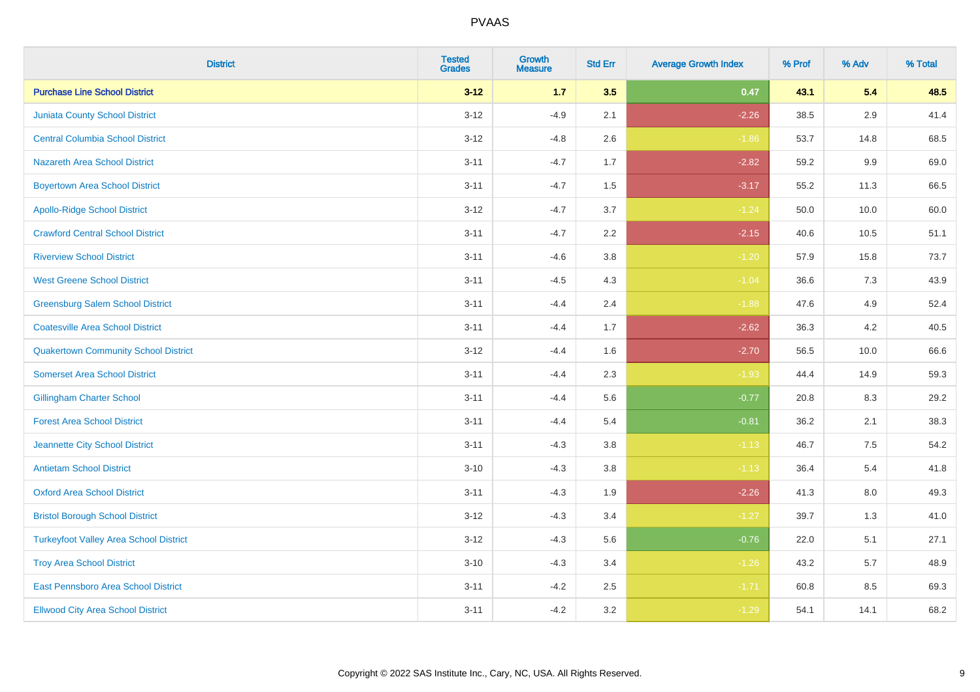| <b>District</b>                               | <b>Tested</b><br><b>Grades</b> | <b>Growth</b><br><b>Measure</b> | <b>Std Err</b> | <b>Average Growth Index</b> | % Prof | % Adv   | % Total |
|-----------------------------------------------|--------------------------------|---------------------------------|----------------|-----------------------------|--------|---------|---------|
| <b>Purchase Line School District</b>          | $3 - 12$                       | $1.7$                           | 3.5            | 0.47                        | 43.1   | 5.4     | 48.5    |
| <b>Juniata County School District</b>         | $3 - 12$                       | $-4.9$                          | 2.1            | $-2.26$                     | 38.5   | 2.9     | 41.4    |
| <b>Central Columbia School District</b>       | $3 - 12$                       | $-4.8$                          | 2.6            | $-1.86$                     | 53.7   | 14.8    | 68.5    |
| <b>Nazareth Area School District</b>          | $3 - 11$                       | $-4.7$                          | 1.7            | $-2.82$                     | 59.2   | $9.9\,$ | 69.0    |
| <b>Boyertown Area School District</b>         | $3 - 11$                       | $-4.7$                          | 1.5            | $-3.17$                     | 55.2   | 11.3    | 66.5    |
| <b>Apollo-Ridge School District</b>           | $3 - 12$                       | $-4.7$                          | 3.7            | $-1.24$                     | 50.0   | 10.0    | 60.0    |
| <b>Crawford Central School District</b>       | $3 - 11$                       | $-4.7$                          | 2.2            | $-2.15$                     | 40.6   | 10.5    | 51.1    |
| <b>Riverview School District</b>              | $3 - 11$                       | $-4.6$                          | 3.8            | $-1.20$                     | 57.9   | 15.8    | 73.7    |
| <b>West Greene School District</b>            | $3 - 11$                       | $-4.5$                          | 4.3            | $-1.04$                     | 36.6   | 7.3     | 43.9    |
| <b>Greensburg Salem School District</b>       | $3 - 11$                       | $-4.4$                          | 2.4            | $-1.88$                     | 47.6   | 4.9     | 52.4    |
| <b>Coatesville Area School District</b>       | $3 - 11$                       | $-4.4$                          | 1.7            | $-2.62$                     | 36.3   | 4.2     | 40.5    |
| <b>Quakertown Community School District</b>   | $3 - 12$                       | $-4.4$                          | 1.6            | $-2.70$                     | 56.5   | 10.0    | 66.6    |
| <b>Somerset Area School District</b>          | $3 - 11$                       | $-4.4$                          | 2.3            | $-1.93$                     | 44.4   | 14.9    | 59.3    |
| <b>Gillingham Charter School</b>              | $3 - 11$                       | $-4.4$                          | 5.6            | $-0.77$                     | 20.8   | 8.3     | 29.2    |
| <b>Forest Area School District</b>            | $3 - 11$                       | $-4.4$                          | 5.4            | $-0.81$                     | 36.2   | 2.1     | 38.3    |
| Jeannette City School District                | $3 - 11$                       | $-4.3$                          | 3.8            | $-1.13$                     | 46.7   | $7.5\,$ | 54.2    |
| <b>Antietam School District</b>               | $3 - 10$                       | $-4.3$                          | 3.8            | $-1.13$                     | 36.4   | $5.4$   | 41.8    |
| <b>Oxford Area School District</b>            | $3 - 11$                       | $-4.3$                          | 1.9            | $-2.26$                     | 41.3   | 8.0     | 49.3    |
| <b>Bristol Borough School District</b>        | $3-12$                         | $-4.3$                          | 3.4            | $-1.27$                     | 39.7   | 1.3     | 41.0    |
| <b>Turkeyfoot Valley Area School District</b> | $3 - 12$                       | $-4.3$                          | 5.6            | $-0.76$                     | 22.0   | 5.1     | 27.1    |
| <b>Troy Area School District</b>              | $3 - 10$                       | $-4.3$                          | 3.4            | $-1.26$                     | 43.2   | 5.7     | 48.9    |
| East Pennsboro Area School District           | $3 - 11$                       | $-4.2$                          | 2.5            | $-1.71$                     | 60.8   | 8.5     | 69.3    |
| <b>Ellwood City Area School District</b>      | $3 - 11$                       | $-4.2$                          | 3.2            | $-1.29$                     | 54.1   | 14.1    | 68.2    |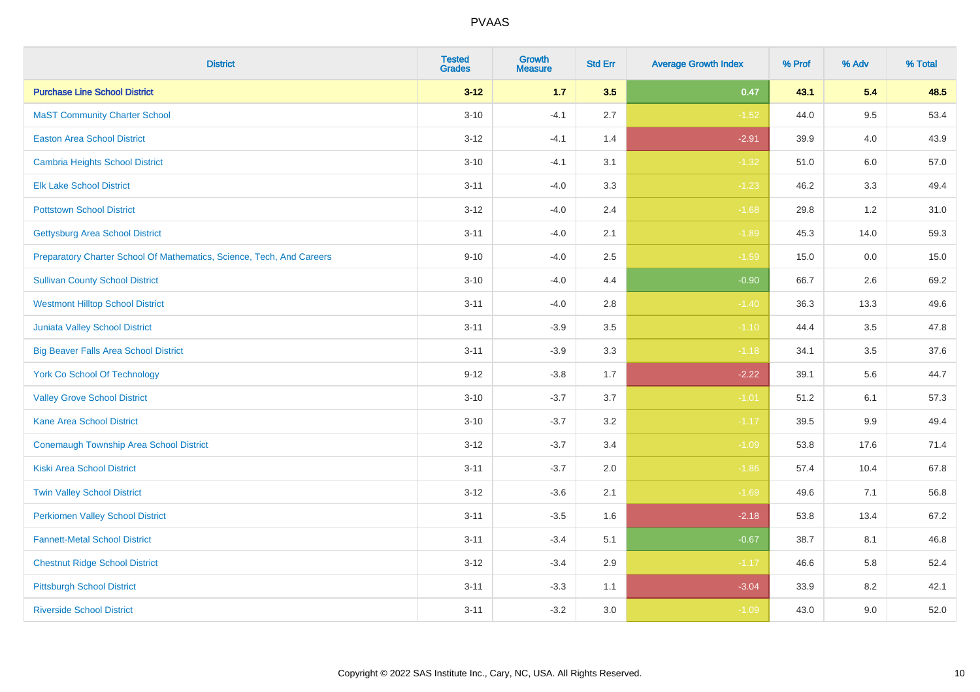| <b>District</b>                                                       | <b>Tested</b><br><b>Grades</b> | <b>Growth</b><br><b>Measure</b> | <b>Std Err</b> | <b>Average Growth Index</b> | % Prof | % Adv   | % Total |
|-----------------------------------------------------------------------|--------------------------------|---------------------------------|----------------|-----------------------------|--------|---------|---------|
| <b>Purchase Line School District</b>                                  | $3 - 12$                       | 1.7                             | 3.5            | 0.47                        | 43.1   | 5.4     | 48.5    |
| <b>MaST Community Charter School</b>                                  | $3 - 10$                       | $-4.1$                          | 2.7            | $-1.52$                     | 44.0   | 9.5     | 53.4    |
| <b>Easton Area School District</b>                                    | $3 - 12$                       | $-4.1$                          | 1.4            | $-2.91$                     | 39.9   | 4.0     | 43.9    |
| <b>Cambria Heights School District</b>                                | $3 - 10$                       | $-4.1$                          | 3.1            | $-1.32$                     | 51.0   | $6.0\,$ | 57.0    |
| <b>Elk Lake School District</b>                                       | $3 - 11$                       | $-4.0$                          | 3.3            | $-1.23$                     | 46.2   | 3.3     | 49.4    |
| <b>Pottstown School District</b>                                      | $3 - 12$                       | $-4.0$                          | 2.4            | $-1.68$                     | 29.8   | 1.2     | 31.0    |
| <b>Gettysburg Area School District</b>                                | $3 - 11$                       | $-4.0$                          | 2.1            | $-1.89$                     | 45.3   | 14.0    | 59.3    |
| Preparatory Charter School Of Mathematics, Science, Tech, And Careers | $9 - 10$                       | $-4.0$                          | 2.5            | $-1.59$                     | 15.0   | 0.0     | 15.0    |
| <b>Sullivan County School District</b>                                | $3 - 10$                       | $-4.0$                          | 4.4            | $-0.90$                     | 66.7   | 2.6     | 69.2    |
| <b>Westmont Hilltop School District</b>                               | $3 - 11$                       | $-4.0$                          | 2.8            | $-1.40$                     | 36.3   | 13.3    | 49.6    |
| Juniata Valley School District                                        | $3 - 11$                       | $-3.9$                          | 3.5            | $-1.10$                     | 44.4   | 3.5     | 47.8    |
| <b>Big Beaver Falls Area School District</b>                          | $3 - 11$                       | $-3.9$                          | 3.3            | $-1.18$                     | 34.1   | 3.5     | 37.6    |
| <b>York Co School Of Technology</b>                                   | $9 - 12$                       | $-3.8$                          | 1.7            | $-2.22$                     | 39.1   | 5.6     | 44.7    |
| <b>Valley Grove School District</b>                                   | $3 - 10$                       | $-3.7$                          | 3.7            | $-1.01$                     | 51.2   | 6.1     | 57.3    |
| <b>Kane Area School District</b>                                      | $3 - 10$                       | $-3.7$                          | 3.2            | $-1.17$                     | 39.5   | 9.9     | 49.4    |
| <b>Conemaugh Township Area School District</b>                        | $3 - 12$                       | $-3.7$                          | 3.4            | $-1.09$                     | 53.8   | 17.6    | 71.4    |
| <b>Kiski Area School District</b>                                     | $3 - 11$                       | $-3.7$                          | 2.0            | $-1.86$                     | 57.4   | 10.4    | 67.8    |
| <b>Twin Valley School District</b>                                    | $3 - 12$                       | $-3.6$                          | 2.1            | $-1.69$                     | 49.6   | 7.1     | 56.8    |
| <b>Perkiomen Valley School District</b>                               | $3 - 11$                       | $-3.5$                          | 1.6            | $-2.18$                     | 53.8   | 13.4    | 67.2    |
| <b>Fannett-Metal School District</b>                                  | $3 - 11$                       | $-3.4$                          | 5.1            | $-0.67$                     | 38.7   | 8.1     | 46.8    |
| <b>Chestnut Ridge School District</b>                                 | $3 - 12$                       | $-3.4$                          | 2.9            | $-1.17$                     | 46.6   | 5.8     | 52.4    |
| <b>Pittsburgh School District</b>                                     | $3 - 11$                       | $-3.3$                          | 1.1            | $-3.04$                     | 33.9   | 8.2     | 42.1    |
| <b>Riverside School District</b>                                      | $3 - 11$                       | $-3.2$                          | 3.0            | $-1.09$                     | 43.0   | 9.0     | 52.0    |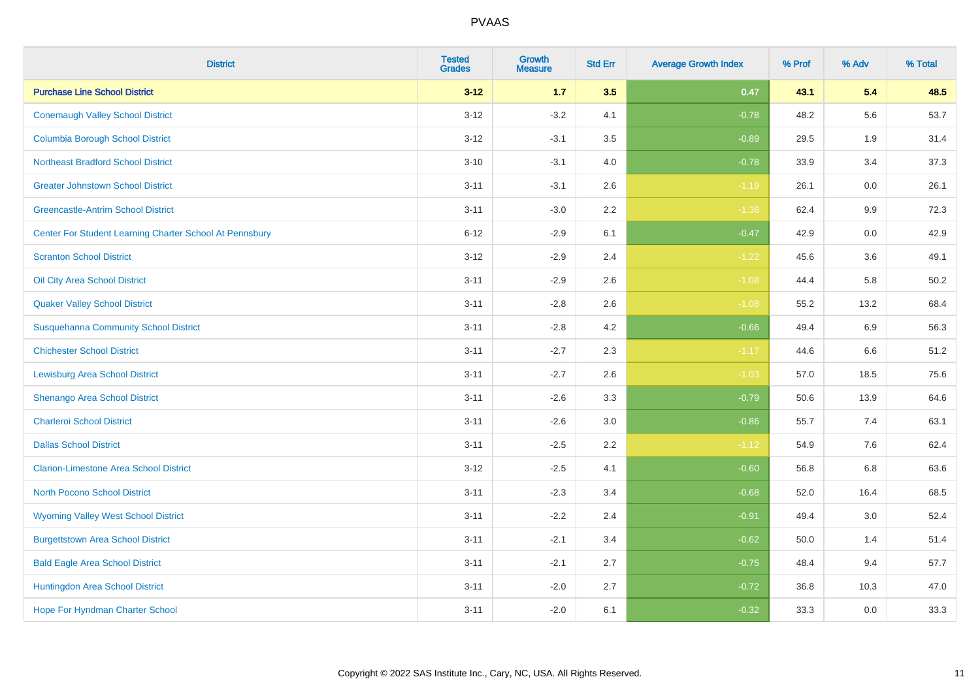| <b>District</b>                                         | <b>Tested</b><br><b>Grades</b> | Growth<br><b>Measure</b> | <b>Std Err</b> | <b>Average Growth Index</b> | % Prof | % Adv   | % Total |
|---------------------------------------------------------|--------------------------------|--------------------------|----------------|-----------------------------|--------|---------|---------|
| <b>Purchase Line School District</b>                    | $3 - 12$                       | $1.7$                    | 3.5            | 0.47                        | 43.1   | 5.4     | 48.5    |
| <b>Conemaugh Valley School District</b>                 | $3 - 12$                       | $-3.2$                   | 4.1            | $-0.78$                     | 48.2   | 5.6     | 53.7    |
| <b>Columbia Borough School District</b>                 | $3-12$                         | $-3.1$                   | 3.5            | $-0.89$                     | 29.5   | 1.9     | 31.4    |
| <b>Northeast Bradford School District</b>               | $3 - 10$                       | $-3.1$                   | 4.0            | $-0.78$                     | 33.9   | 3.4     | 37.3    |
| <b>Greater Johnstown School District</b>                | $3 - 11$                       | $-3.1$                   | 2.6            | $-1.19$                     | 26.1   | 0.0     | 26.1    |
| <b>Greencastle-Antrim School District</b>               | $3 - 11$                       | $-3.0$                   | 2.2            | $-1.36$                     | 62.4   | $9.9\,$ | 72.3    |
| Center For Student Learning Charter School At Pennsbury | $6 - 12$                       | $-2.9$                   | 6.1            | $-0.47$                     | 42.9   | $0.0\,$ | 42.9    |
| <b>Scranton School District</b>                         | $3 - 12$                       | $-2.9$                   | 2.4            | $-1.22$                     | 45.6   | 3.6     | 49.1    |
| Oil City Area School District                           | $3 - 11$                       | $-2.9$                   | 2.6            | $-1.08$                     | 44.4   | 5.8     | 50.2    |
| <b>Quaker Valley School District</b>                    | $3 - 11$                       | $-2.8$                   | $2.6\,$        | $-1.08$                     | 55.2   | 13.2    | 68.4    |
| <b>Susquehanna Community School District</b>            | $3 - 11$                       | $-2.8$                   | 4.2            | $-0.66$                     | 49.4   | 6.9     | 56.3    |
| <b>Chichester School District</b>                       | $3 - 11$                       | $-2.7$                   | 2.3            | $-1.17$                     | 44.6   | 6.6     | 51.2    |
| <b>Lewisburg Area School District</b>                   | $3 - 11$                       | $-2.7$                   | 2.6            | $-1.03$                     | 57.0   | 18.5    | 75.6    |
| Shenango Area School District                           | $3 - 11$                       | $-2.6$                   | 3.3            | $-0.79$                     | 50.6   | 13.9    | 64.6    |
| <b>Charleroi School District</b>                        | $3 - 11$                       | $-2.6$                   | 3.0            | $-0.86$                     | 55.7   | 7.4     | 63.1    |
| <b>Dallas School District</b>                           | $3 - 11$                       | $-2.5$                   | 2.2            | $-1.12$                     | 54.9   | 7.6     | 62.4    |
| <b>Clarion-Limestone Area School District</b>           | $3 - 12$                       | $-2.5$                   | 4.1            | $-0.60$                     | 56.8   | 6.8     | 63.6    |
| North Pocono School District                            | $3 - 11$                       | $-2.3$                   | 3.4            | $-0.68$                     | 52.0   | 16.4    | 68.5    |
| <b>Wyoming Valley West School District</b>              | $3 - 11$                       | $-2.2$                   | 2.4            | $-0.91$                     | 49.4   | 3.0     | 52.4    |
| <b>Burgettstown Area School District</b>                | $3 - 11$                       | $-2.1$                   | 3.4            | $-0.62$                     | 50.0   | 1.4     | 51.4    |
| <b>Bald Eagle Area School District</b>                  | $3 - 11$                       | $-2.1$                   | 2.7            | $-0.75$                     | 48.4   | 9.4     | 57.7    |
| Huntingdon Area School District                         | $3 - 11$                       | $-2.0$                   | 2.7            | $-0.72$                     | 36.8   | 10.3    | 47.0    |
| <b>Hope For Hyndman Charter School</b>                  | $3 - 11$                       | $-2.0$                   | 6.1            | $-0.32$                     | 33.3   | 0.0     | 33.3    |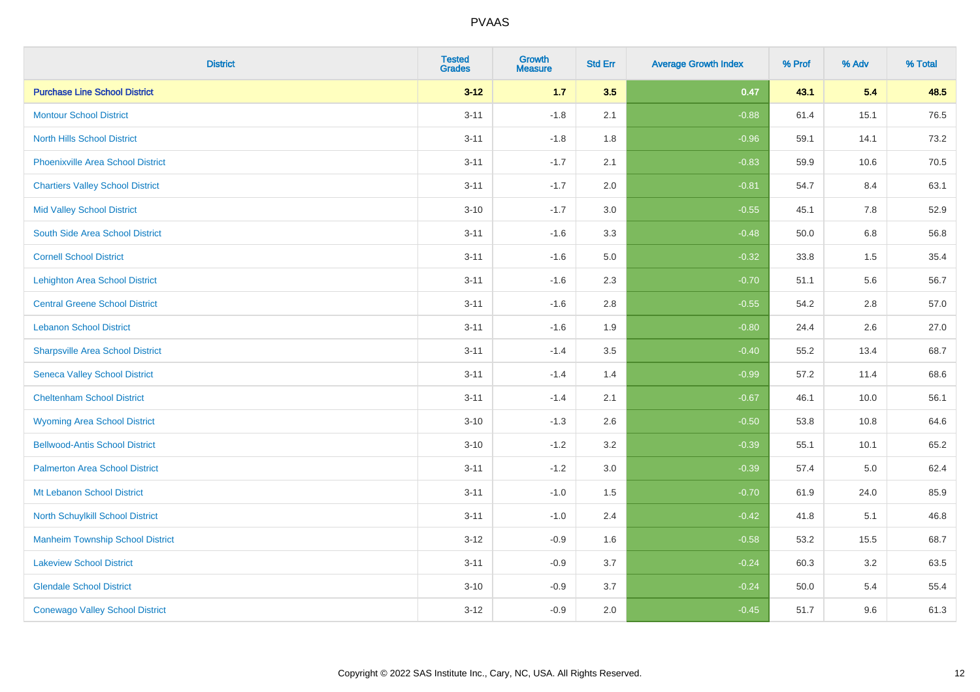| <b>District</b>                          | <b>Tested</b><br><b>Grades</b> | <b>Growth</b><br><b>Measure</b> | <b>Std Err</b> | <b>Average Growth Index</b> | % Prof | % Adv   | % Total |
|------------------------------------------|--------------------------------|---------------------------------|----------------|-----------------------------|--------|---------|---------|
| <b>Purchase Line School District</b>     | $3 - 12$                       | $1.7$                           | 3.5            | 0.47                        | 43.1   | 5.4     | 48.5    |
| <b>Montour School District</b>           | $3 - 11$                       | $-1.8$                          | 2.1            | $-0.88$                     | 61.4   | 15.1    | 76.5    |
| <b>North Hills School District</b>       | $3 - 11$                       | $-1.8$                          | 1.8            | $-0.96$                     | 59.1   | 14.1    | 73.2    |
| <b>Phoenixville Area School District</b> | $3 - 11$                       | $-1.7$                          | 2.1            | $-0.83$                     | 59.9   | 10.6    | 70.5    |
| <b>Chartiers Valley School District</b>  | $3 - 11$                       | $-1.7$                          | 2.0            | $-0.81$                     | 54.7   | 8.4     | 63.1    |
| <b>Mid Valley School District</b>        | $3 - 10$                       | $-1.7$                          | 3.0            | $-0.55$                     | 45.1   | 7.8     | 52.9    |
| South Side Area School District          | $3 - 11$                       | $-1.6$                          | 3.3            | $-0.48$                     | 50.0   | $6.8\,$ | 56.8    |
| <b>Cornell School District</b>           | $3 - 11$                       | $-1.6$                          | 5.0            | $-0.32$                     | 33.8   | 1.5     | 35.4    |
| <b>Lehighton Area School District</b>    | $3 - 11$                       | $-1.6$                          | 2.3            | $-0.70$                     | 51.1   | 5.6     | 56.7    |
| <b>Central Greene School District</b>    | $3 - 11$                       | $-1.6$                          | 2.8            | $-0.55$                     | 54.2   | 2.8     | 57.0    |
| <b>Lebanon School District</b>           | $3 - 11$                       | $-1.6$                          | 1.9            | $-0.80$                     | 24.4   | 2.6     | 27.0    |
| <b>Sharpsville Area School District</b>  | $3 - 11$                       | $-1.4$                          | 3.5            | $-0.40$                     | 55.2   | 13.4    | 68.7    |
| <b>Seneca Valley School District</b>     | $3 - 11$                       | $-1.4$                          | 1.4            | $-0.99$                     | 57.2   | 11.4    | 68.6    |
| <b>Cheltenham School District</b>        | $3 - 11$                       | $-1.4$                          | 2.1            | $-0.67$                     | 46.1   | 10.0    | 56.1    |
| <b>Wyoming Area School District</b>      | $3 - 10$                       | $-1.3$                          | 2.6            | $-0.50$                     | 53.8   | 10.8    | 64.6    |
| <b>Bellwood-Antis School District</b>    | $3 - 10$                       | $-1.2$                          | 3.2            | $-0.39$                     | 55.1   | 10.1    | 65.2    |
| <b>Palmerton Area School District</b>    | $3 - 11$                       | $-1.2$                          | 3.0            | $-0.39$                     | 57.4   | 5.0     | 62.4    |
| Mt Lebanon School District               | $3 - 11$                       | $-1.0$                          | 1.5            | $-0.70$                     | 61.9   | 24.0    | 85.9    |
| <b>North Schuylkill School District</b>  | $3 - 11$                       | $-1.0$                          | 2.4            | $-0.42$                     | 41.8   | 5.1     | 46.8    |
| <b>Manheim Township School District</b>  | $3 - 12$                       | $-0.9$                          | 1.6            | $-0.58$                     | 53.2   | 15.5    | 68.7    |
| <b>Lakeview School District</b>          | $3 - 11$                       | $-0.9$                          | 3.7            | $-0.24$                     | 60.3   | 3.2     | 63.5    |
| <b>Glendale School District</b>          | $3 - 10$                       | $-0.9$                          | 3.7            | $-0.24$                     | 50.0   | 5.4     | 55.4    |
| <b>Conewago Valley School District</b>   | $3-12$                         | $-0.9$                          | 2.0            | $-0.45$                     | 51.7   | 9.6     | 61.3    |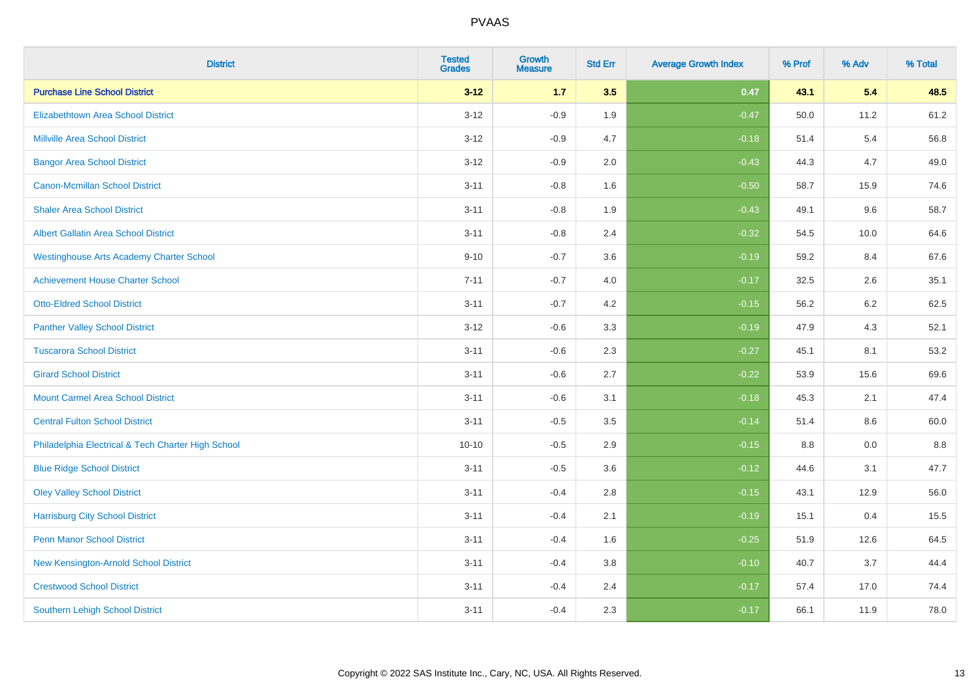| <b>District</b>                                    | <b>Tested</b><br><b>Grades</b> | Growth<br><b>Measure</b> | <b>Std Err</b> | <b>Average Growth Index</b> | % Prof | % Adv | % Total |
|----------------------------------------------------|--------------------------------|--------------------------|----------------|-----------------------------|--------|-------|---------|
| <b>Purchase Line School District</b>               | $3 - 12$                       | $1.7$                    | 3.5            | 0.47                        | 43.1   | 5.4   | 48.5    |
| <b>Elizabethtown Area School District</b>          | $3 - 12$                       | $-0.9$                   | 1.9            | $-0.47$                     | 50.0   | 11.2  | 61.2    |
| <b>Millville Area School District</b>              | $3 - 12$                       | $-0.9$                   | 4.7            | $-0.18$                     | 51.4   | 5.4   | 56.8    |
| <b>Bangor Area School District</b>                 | $3 - 12$                       | $-0.9$                   | 2.0            | $-0.43$                     | 44.3   | 4.7   | 49.0    |
| Canon-Mcmillan School District                     | $3 - 11$                       | $-0.8$                   | 1.6            | $-0.50$                     | 58.7   | 15.9  | 74.6    |
| <b>Shaler Area School District</b>                 | $3 - 11$                       | $-0.8$                   | 1.9            | $-0.43$                     | 49.1   | 9.6   | 58.7    |
| <b>Albert Gallatin Area School District</b>        | $3 - 11$                       | $-0.8$                   | 2.4            | $-0.32$                     | 54.5   | 10.0  | 64.6    |
| <b>Westinghouse Arts Academy Charter School</b>    | $9 - 10$                       | $-0.7$                   | 3.6            | $-0.19$                     | 59.2   | 8.4   | 67.6    |
| <b>Achievement House Charter School</b>            | $7 - 11$                       | $-0.7$                   | 4.0            | $-0.17$                     | 32.5   | 2.6   | 35.1    |
| <b>Otto-Eldred School District</b>                 | $3 - 11$                       | $-0.7$                   | 4.2            | $-0.15$                     | 56.2   | 6.2   | 62.5    |
| <b>Panther Valley School District</b>              | $3 - 12$                       | $-0.6$                   | 3.3            | $-0.19$                     | 47.9   | 4.3   | 52.1    |
| <b>Tuscarora School District</b>                   | $3 - 11$                       | $-0.6$                   | 2.3            | $-0.27$                     | 45.1   | 8.1   | 53.2    |
| <b>Girard School District</b>                      | $3 - 11$                       | $-0.6$                   | 2.7            | $-0.22$                     | 53.9   | 15.6  | 69.6    |
| <b>Mount Carmel Area School District</b>           | $3 - 11$                       | $-0.6$                   | 3.1            | $-0.18$                     | 45.3   | 2.1   | 47.4    |
| <b>Central Fulton School District</b>              | $3 - 11$                       | $-0.5$                   | 3.5            | $-0.14$                     | 51.4   | 8.6   | 60.0    |
| Philadelphia Electrical & Tech Charter High School | $10 - 10$                      | $-0.5$                   | 2.9            | $-0.15$                     | 8.8    | 0.0   | 8.8     |
| <b>Blue Ridge School District</b>                  | $3 - 11$                       | $-0.5$                   | 3.6            | $-0.12$                     | 44.6   | 3.1   | 47.7    |
| <b>Oley Valley School District</b>                 | $3 - 11$                       | $-0.4$                   | 2.8            | $-0.15$                     | 43.1   | 12.9  | 56.0    |
| <b>Harrisburg City School District</b>             | $3 - 11$                       | $-0.4$                   | 2.1            | $-0.19$                     | 15.1   | 0.4   | 15.5    |
| <b>Penn Manor School District</b>                  | $3 - 11$                       | $-0.4$                   | 1.6            | $-0.25$                     | 51.9   | 12.6  | 64.5    |
| New Kensington-Arnold School District              | $3 - 11$                       | $-0.4$                   | 3.8            | $-0.10$                     | 40.7   | 3.7   | 44.4    |
| <b>Crestwood School District</b>                   | $3 - 11$                       | $-0.4$                   | 2.4            | $-0.17$                     | 57.4   | 17.0  | 74.4    |
| <b>Southern Lehigh School District</b>             | $3 - 11$                       | $-0.4$                   | 2.3            | $-0.17$                     | 66.1   | 11.9  | 78.0    |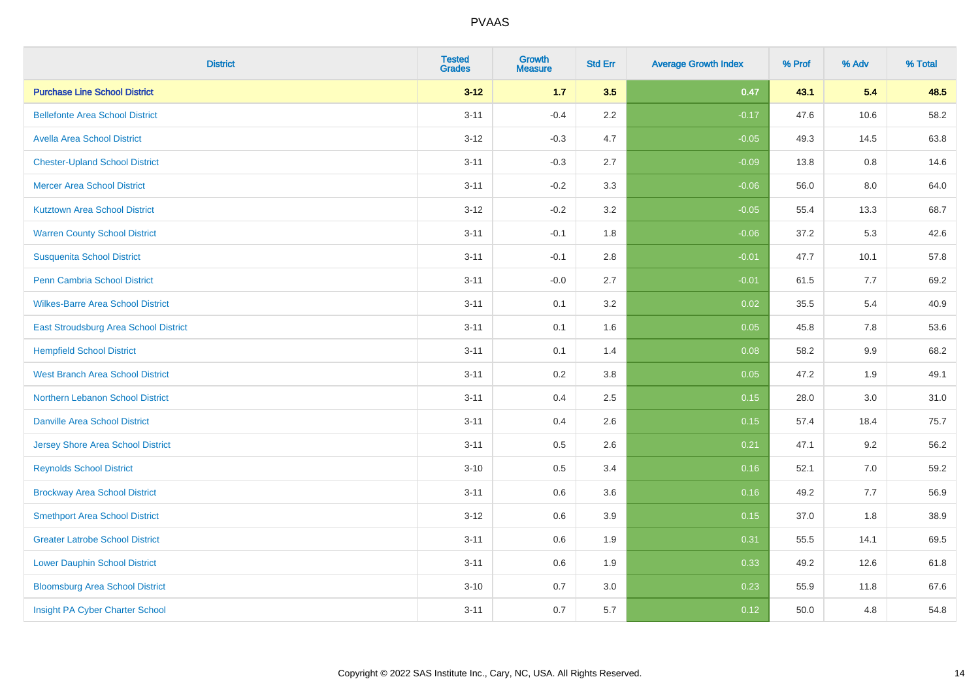| <b>District</b>                          | <b>Tested</b><br><b>Grades</b> | <b>Growth</b><br><b>Measure</b> | <b>Std Err</b> | <b>Average Growth Index</b> | % Prof | % Adv | % Total |
|------------------------------------------|--------------------------------|---------------------------------|----------------|-----------------------------|--------|-------|---------|
| <b>Purchase Line School District</b>     | $3 - 12$                       | $1.7$                           | 3.5            | 0.47                        | 43.1   | 5.4   | 48.5    |
| <b>Bellefonte Area School District</b>   | $3 - 11$                       | $-0.4$                          | $2.2\,$        | $-0.17$                     | 47.6   | 10.6  | 58.2    |
| <b>Avella Area School District</b>       | $3 - 12$                       | $-0.3$                          | 4.7            | $-0.05$                     | 49.3   | 14.5  | 63.8    |
| <b>Chester-Upland School District</b>    | $3 - 11$                       | $-0.3$                          | 2.7            | $-0.09$                     | 13.8   | 0.8   | 14.6    |
| <b>Mercer Area School District</b>       | $3 - 11$                       | $-0.2$                          | 3.3            | $-0.06$                     | 56.0   | 8.0   | 64.0    |
| <b>Kutztown Area School District</b>     | $3 - 12$                       | $-0.2$                          | 3.2            | $-0.05$                     | 55.4   | 13.3  | 68.7    |
| <b>Warren County School District</b>     | $3 - 11$                       | $-0.1$                          | 1.8            | $-0.06$                     | 37.2   | 5.3   | 42.6    |
| <b>Susquenita School District</b>        | $3 - 11$                       | $-0.1$                          | 2.8            | $-0.01$                     | 47.7   | 10.1  | 57.8    |
| Penn Cambria School District             | $3 - 11$                       | $-0.0$                          | 2.7            | $-0.01$                     | 61.5   | 7.7   | 69.2    |
| <b>Wilkes-Barre Area School District</b> | $3 - 11$                       | 0.1                             | 3.2            | 0.02                        | 35.5   | 5.4   | 40.9    |
| East Stroudsburg Area School District    | $3 - 11$                       | 0.1                             | 1.6            | 0.05                        | 45.8   | 7.8   | 53.6    |
| <b>Hempfield School District</b>         | $3 - 11$                       | 0.1                             | 1.4            | 0.08                        | 58.2   | 9.9   | 68.2    |
| <b>West Branch Area School District</b>  | $3 - 11$                       | 0.2                             | $3.8\,$        | 0.05                        | 47.2   | 1.9   | 49.1    |
| Northern Lebanon School District         | $3 - 11$                       | 0.4                             | 2.5            | 0.15                        | 28.0   | 3.0   | 31.0    |
| <b>Danville Area School District</b>     | $3 - 11$                       | 0.4                             | 2.6            | 0.15                        | 57.4   | 18.4  | 75.7    |
| <b>Jersey Shore Area School District</b> | $3 - 11$                       | 0.5                             | 2.6            | 0.21                        | 47.1   | 9.2   | 56.2    |
| <b>Reynolds School District</b>          | $3 - 10$                       | 0.5                             | 3.4            | 0.16                        | 52.1   | 7.0   | 59.2    |
| <b>Brockway Area School District</b>     | $3 - 11$                       | 0.6                             | 3.6            | 0.16                        | 49.2   | 7.7   | 56.9    |
| <b>Smethport Area School District</b>    | $3 - 12$                       | 0.6                             | 3.9            | 0.15                        | 37.0   | 1.8   | 38.9    |
| <b>Greater Latrobe School District</b>   | $3 - 11$                       | 0.6                             | 1.9            | 0.31                        | 55.5   | 14.1  | 69.5    |
| <b>Lower Dauphin School District</b>     | $3 - 11$                       | 0.6                             | 1.9            | 0.33                        | 49.2   | 12.6  | 61.8    |
| <b>Bloomsburg Area School District</b>   | $3 - 10$                       | 0.7                             | 3.0            | 0.23                        | 55.9   | 11.8  | 67.6    |
| Insight PA Cyber Charter School          | $3 - 11$                       | 0.7                             | 5.7            | 0.12                        | 50.0   | 4.8   | 54.8    |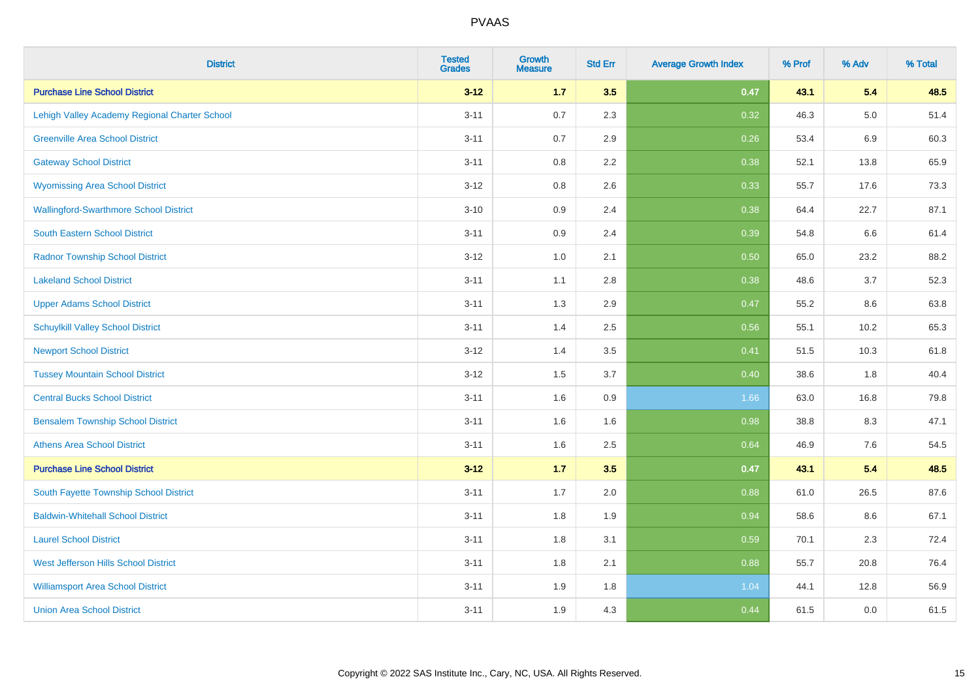| <b>District</b>                               | <b>Tested</b><br><b>Grades</b> | <b>Growth</b><br><b>Measure</b> | <b>Std Err</b> | <b>Average Growth Index</b> | % Prof | % Adv   | % Total |
|-----------------------------------------------|--------------------------------|---------------------------------|----------------|-----------------------------|--------|---------|---------|
| <b>Purchase Line School District</b>          | $3 - 12$                       | 1.7                             | 3.5            | 0.47                        | 43.1   | 5.4     | 48.5    |
| Lehigh Valley Academy Regional Charter School | $3 - 11$                       | 0.7                             | 2.3            | 0.32                        | 46.3   | $5.0\,$ | 51.4    |
| <b>Greenville Area School District</b>        | $3 - 11$                       | 0.7                             | 2.9            | 0.26                        | 53.4   | $6.9\,$ | 60.3    |
| <b>Gateway School District</b>                | $3 - 11$                       | 0.8                             | 2.2            | 0.38                        | 52.1   | 13.8    | 65.9    |
| <b>Wyomissing Area School District</b>        | $3 - 12$                       | 0.8                             | 2.6            | 0.33                        | 55.7   | 17.6    | 73.3    |
| <b>Wallingford-Swarthmore School District</b> | $3 - 10$                       | 0.9                             | 2.4            | 0.38                        | 64.4   | 22.7    | 87.1    |
| <b>South Eastern School District</b>          | $3 - 11$                       | 0.9                             | 2.4            | 0.39                        | 54.8   | 6.6     | 61.4    |
| <b>Radnor Township School District</b>        | $3 - 12$                       | 1.0                             | 2.1            | 0.50                        | 65.0   | 23.2    | 88.2    |
| <b>Lakeland School District</b>               | $3 - 11$                       | 1.1                             | 2.8            | 0.38                        | 48.6   | 3.7     | 52.3    |
| <b>Upper Adams School District</b>            | $3 - 11$                       | 1.3                             | 2.9            | 0.47                        | 55.2   | 8.6     | 63.8    |
| <b>Schuylkill Valley School District</b>      | $3 - 11$                       | 1.4                             | 2.5            | 0.56                        | 55.1   | 10.2    | 65.3    |
| <b>Newport School District</b>                | $3 - 12$                       | 1.4                             | 3.5            | 0.41                        | 51.5   | 10.3    | 61.8    |
| <b>Tussey Mountain School District</b>        | $3 - 12$                       | 1.5                             | 3.7            | 0.40                        | 38.6   | 1.8     | 40.4    |
| <b>Central Bucks School District</b>          | $3 - 11$                       | 1.6                             | 0.9            | 1.66                        | 63.0   | 16.8    | 79.8    |
| <b>Bensalem Township School District</b>      | $3 - 11$                       | 1.6                             | 1.6            | 0.98                        | 38.8   | 8.3     | 47.1    |
| <b>Athens Area School District</b>            | $3 - 11$                       | 1.6                             | 2.5            | 0.64                        | 46.9   | $7.6\,$ | 54.5    |
| <b>Purchase Line School District</b>          | $3 - 12$                       | $1.7$                           | 3.5            | 0.47                        | 43.1   | 5.4     | 48.5    |
| South Fayette Township School District        | $3 - 11$                       | 1.7                             | 2.0            | 0.88                        | 61.0   | 26.5    | 87.6    |
| <b>Baldwin-Whitehall School District</b>      | $3 - 11$                       | 1.8                             | 1.9            | 0.94                        | 58.6   | 8.6     | 67.1    |
| <b>Laurel School District</b>                 | $3 - 11$                       | 1.8                             | 3.1            | 0.59                        | 70.1   | 2.3     | 72.4    |
| West Jefferson Hills School District          | $3 - 11$                       | 1.8                             | 2.1            | 0.88                        | 55.7   | 20.8    | 76.4    |
| <b>Williamsport Area School District</b>      | $3 - 11$                       | 1.9                             | 1.8            | 1.04                        | 44.1   | 12.8    | 56.9    |
| <b>Union Area School District</b>             | $3 - 11$                       | 1.9                             | 4.3            | 0.44                        | 61.5   | 0.0     | 61.5    |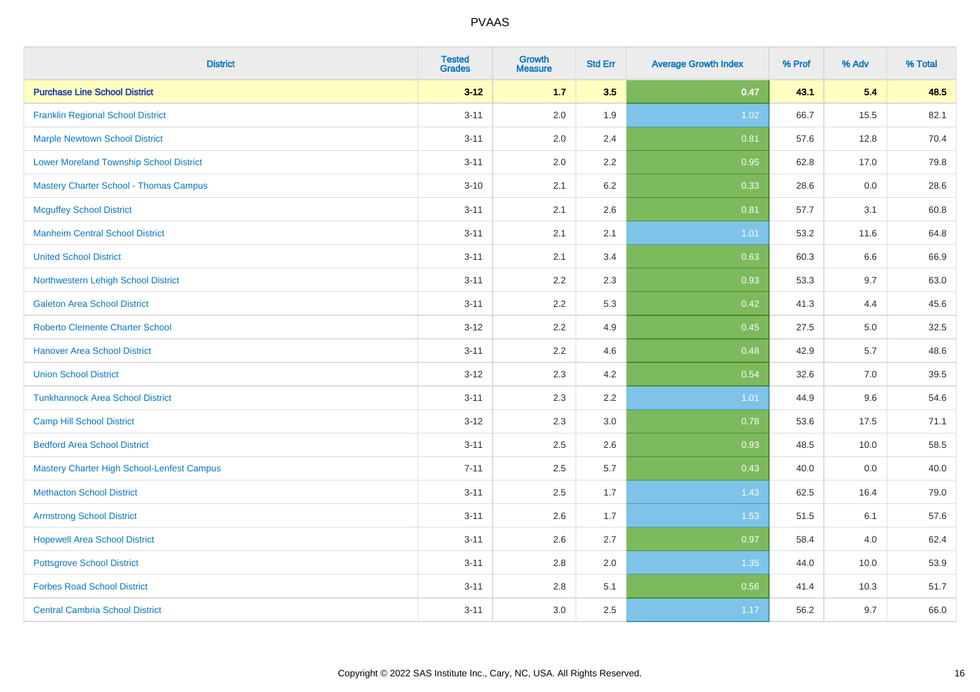| <b>District</b>                                | <b>Tested</b><br><b>Grades</b> | <b>Growth</b><br><b>Measure</b> | <b>Std Err</b> | <b>Average Growth Index</b> | % Prof | % Adv | % Total |
|------------------------------------------------|--------------------------------|---------------------------------|----------------|-----------------------------|--------|-------|---------|
| <b>Purchase Line School District</b>           | $3 - 12$                       | $1.7$                           | 3.5            | 0.47                        | 43.1   | 5.4   | 48.5    |
| <b>Franklin Regional School District</b>       | $3 - 11$                       | 2.0                             | 1.9            | 1.02                        | 66.7   | 15.5  | 82.1    |
| <b>Marple Newtown School District</b>          | $3 - 11$                       | 2.0                             | 2.4            | 0.81                        | 57.6   | 12.8  | 70.4    |
| <b>Lower Moreland Township School District</b> | $3 - 11$                       | 2.0                             | 2.2            | 0.95                        | 62.8   | 17.0  | 79.8    |
| <b>Mastery Charter School - Thomas Campus</b>  | $3 - 10$                       | 2.1                             | 6.2            | 0.33                        | 28.6   | 0.0   | 28.6    |
| <b>Mcguffey School District</b>                | $3 - 11$                       | 2.1                             | 2.6            | 0.81                        | 57.7   | 3.1   | 60.8    |
| <b>Manheim Central School District</b>         | $3 - 11$                       | 2.1                             | 2.1            | 1.01                        | 53.2   | 11.6  | 64.8    |
| <b>United School District</b>                  | $3 - 11$                       | 2.1                             | 3.4            | 0.63                        | 60.3   | 6.6   | 66.9    |
| Northwestern Lehigh School District            | $3 - 11$                       | 2.2                             | 2.3            | 0.93                        | 53.3   | 9.7   | 63.0    |
| <b>Galeton Area School District</b>            | $3 - 11$                       | 2.2                             | 5.3            | 0.42                        | 41.3   | 4.4   | 45.6    |
| <b>Roberto Clemente Charter School</b>         | $3 - 12$                       | 2.2                             | 4.9            | 0.45                        | 27.5   | 5.0   | 32.5    |
| <b>Hanover Area School District</b>            | $3 - 11$                       | 2.2                             | 4.6            | 0.48                        | 42.9   | 5.7   | 48.6    |
| <b>Union School District</b>                   | $3 - 12$                       | 2.3                             | 4.2            | 0.54                        | 32.6   | 7.0   | 39.5    |
| <b>Tunkhannock Area School District</b>        | $3 - 11$                       | 2.3                             | 2.2            | 1.01                        | 44.9   | 9.6   | 54.6    |
| <b>Camp Hill School District</b>               | $3 - 12$                       | 2.3                             | 3.0            | 0.78                        | 53.6   | 17.5  | 71.1    |
| <b>Bedford Area School District</b>            | $3 - 11$                       | 2.5                             | 2.6            | 0.93                        | 48.5   | 10.0  | 58.5    |
| Mastery Charter High School-Lenfest Campus     | $7 - 11$                       | 2.5                             | 5.7            | 0.43                        | 40.0   | 0.0   | 40.0    |
| <b>Methacton School District</b>               | $3 - 11$                       | 2.5                             | 1.7            | 1.43                        | 62.5   | 16.4  | 79.0    |
| <b>Armstrong School District</b>               | $3 - 11$                       | 2.6                             | 1.7            | 1.53                        | 51.5   | 6.1   | 57.6    |
| <b>Hopewell Area School District</b>           | $3 - 11$                       | 2.6                             | 2.7            | 0.97                        | 58.4   | 4.0   | 62.4    |
| <b>Pottsgrove School District</b>              | $3 - 11$                       | 2.8                             | 2.0            | 1.35                        | 44.0   | 10.0  | 53.9    |
| <b>Forbes Road School District</b>             | $3 - 11$                       | $2.8\,$                         | 5.1            | 0.56                        | 41.4   | 10.3  | 51.7    |
| <b>Central Cambria School District</b>         | $3 - 11$                       | 3.0                             | 2.5            | 1.17                        | 56.2   | 9.7   | 66.0    |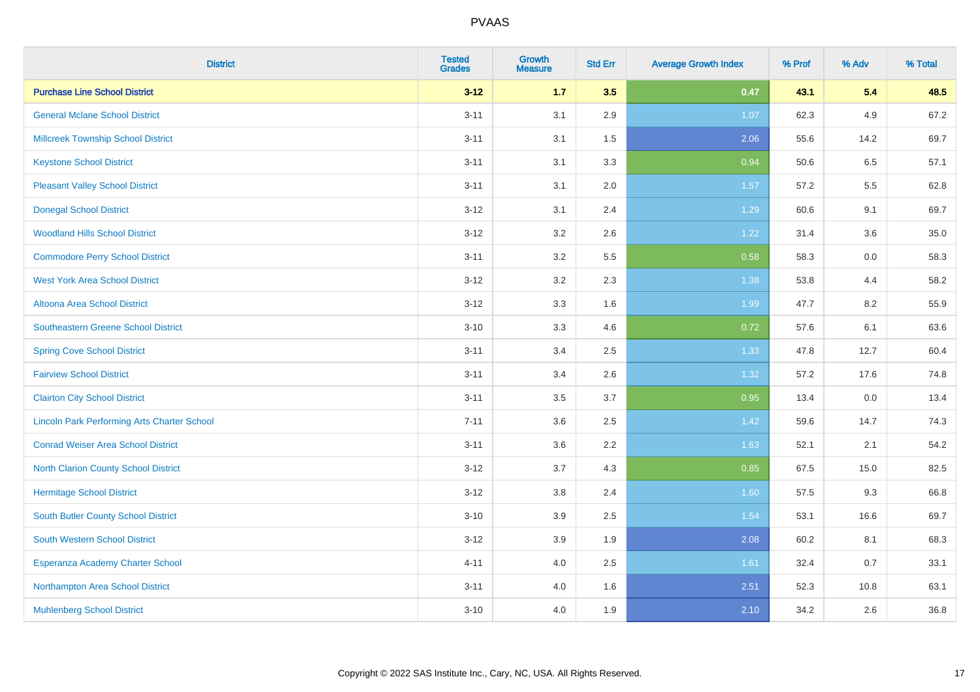| <b>District</b>                                    | <b>Tested</b><br><b>Grades</b> | <b>Growth</b><br><b>Measure</b> | <b>Std Err</b> | <b>Average Growth Index</b> | % Prof | % Adv | % Total |
|----------------------------------------------------|--------------------------------|---------------------------------|----------------|-----------------------------|--------|-------|---------|
| <b>Purchase Line School District</b>               | $3 - 12$                       | $1.7$                           | 3.5            | 0.47                        | 43.1   | 5.4   | 48.5    |
| <b>General Mclane School District</b>              | $3 - 11$                       | 3.1                             | 2.9            | 1.07                        | 62.3   | 4.9   | 67.2    |
| <b>Millcreek Township School District</b>          | $3 - 11$                       | 3.1                             | 1.5            | 2.06                        | 55.6   | 14.2  | 69.7    |
| <b>Keystone School District</b>                    | $3 - 11$                       | 3.1                             | 3.3            | 0.94                        | 50.6   | 6.5   | 57.1    |
| <b>Pleasant Valley School District</b>             | $3 - 11$                       | 3.1                             | 2.0            | 1.57                        | 57.2   | 5.5   | 62.8    |
| <b>Donegal School District</b>                     | $3 - 12$                       | 3.1                             | 2.4            | 1.29                        | 60.6   | 9.1   | 69.7    |
| <b>Woodland Hills School District</b>              | $3 - 12$                       | 3.2                             | 2.6            | 1.22                        | 31.4   | 3.6   | 35.0    |
| <b>Commodore Perry School District</b>             | $3 - 11$                       | 3.2                             | 5.5            | 0.58                        | 58.3   | 0.0   | 58.3    |
| <b>West York Area School District</b>              | $3 - 12$                       | 3.2                             | 2.3            | 1.38                        | 53.8   | 4.4   | 58.2    |
| Altoona Area School District                       | $3 - 12$                       | 3.3                             | 1.6            | 1.99                        | 47.7   | 8.2   | 55.9    |
| Southeastern Greene School District                | $3 - 10$                       | 3.3                             | 4.6            | 0.72                        | 57.6   | 6.1   | 63.6    |
| <b>Spring Cove School District</b>                 | $3 - 11$                       | 3.4                             | 2.5            | 1.33                        | 47.8   | 12.7  | 60.4    |
| <b>Fairview School District</b>                    | $3 - 11$                       | 3.4                             | 2.6            | 1.32                        | 57.2   | 17.6  | 74.8    |
| <b>Clairton City School District</b>               | $3 - 11$                       | 3.5                             | 3.7            | 0.95                        | 13.4   | 0.0   | 13.4    |
| <b>Lincoln Park Performing Arts Charter School</b> | $7 - 11$                       | 3.6                             | 2.5            | 1.42                        | 59.6   | 14.7  | 74.3    |
| <b>Conrad Weiser Area School District</b>          | $3 - 11$                       | 3.6                             | 2.2            | 1.63                        | 52.1   | 2.1   | 54.2    |
| <b>North Clarion County School District</b>        | $3 - 12$                       | 3.7                             | 4.3            | 0.85                        | 67.5   | 15.0  | 82.5    |
| <b>Hermitage School District</b>                   | $3 - 12$                       | $3.8\,$                         | 2.4            | 1.60                        | 57.5   | 9.3   | 66.8    |
| South Butler County School District                | $3 - 10$                       | 3.9                             | 2.5            | 1.54                        | 53.1   | 16.6  | 69.7    |
| South Western School District                      | $3 - 12$                       | 3.9                             | 1.9            | 2.08                        | 60.2   | 8.1   | 68.3    |
| Esperanza Academy Charter School                   | $4 - 11$                       | 4.0                             | 2.5            | 1.61                        | 32.4   | 0.7   | 33.1    |
| Northampton Area School District                   | $3 - 11$                       | 4.0                             | 1.6            | 2.51                        | 52.3   | 10.8  | 63.1    |
| <b>Muhlenberg School District</b>                  | $3 - 10$                       | 4.0                             | 1.9            | 2.10                        | 34.2   | 2.6   | 36.8    |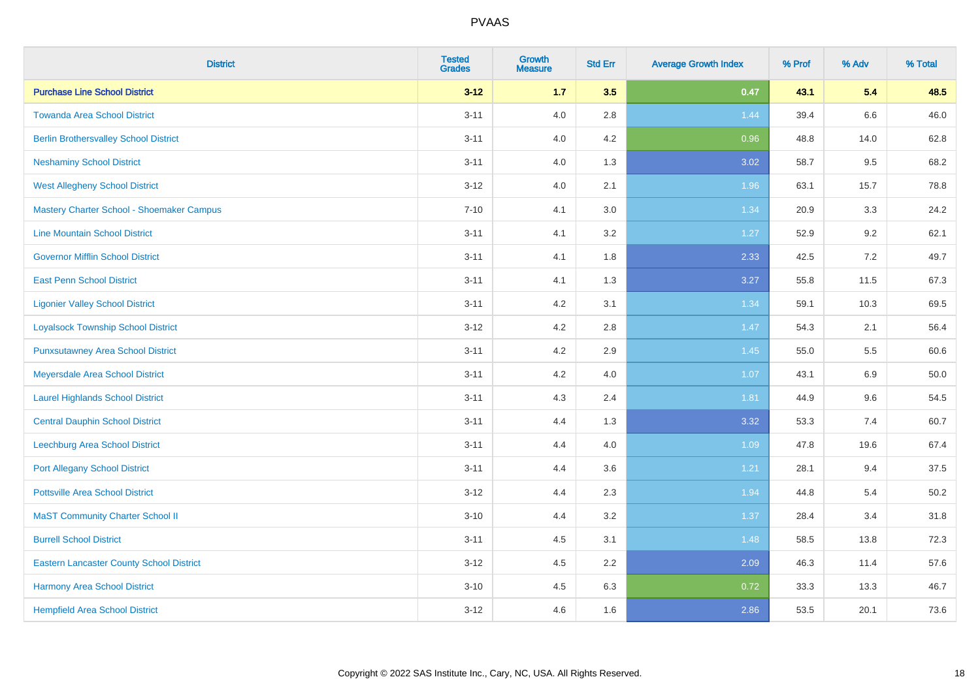| <b>District</b>                                 | <b>Tested</b><br><b>Grades</b> | <b>Growth</b><br><b>Measure</b> | <b>Std Err</b> | <b>Average Growth Index</b> | % Prof | % Adv | % Total  |
|-------------------------------------------------|--------------------------------|---------------------------------|----------------|-----------------------------|--------|-------|----------|
| <b>Purchase Line School District</b>            | $3 - 12$                       | $1.7$                           | 3.5            | 0.47                        | 43.1   | 5.4   | 48.5     |
| <b>Towanda Area School District</b>             | $3 - 11$                       | 4.0                             | 2.8            | 1.44                        | 39.4   | 6.6   | 46.0     |
| <b>Berlin Brothersvalley School District</b>    | $3 - 11$                       | 4.0                             | 4.2            | 0.96                        | 48.8   | 14.0  | 62.8     |
| <b>Neshaminy School District</b>                | $3 - 11$                       | 4.0                             | 1.3            | 3.02                        | 58.7   | 9.5   | 68.2     |
| <b>West Allegheny School District</b>           | $3 - 12$                       | 4.0                             | 2.1            | 1.96                        | 63.1   | 15.7  | 78.8     |
| Mastery Charter School - Shoemaker Campus       | $7 - 10$                       | 4.1                             | 3.0            | 1.34                        | 20.9   | 3.3   | 24.2     |
| <b>Line Mountain School District</b>            | $3 - 11$                       | 4.1                             | 3.2            | 1.27                        | 52.9   | 9.2   | 62.1     |
| <b>Governor Mifflin School District</b>         | $3 - 11$                       | 4.1                             | 1.8            | 2.33                        | 42.5   | 7.2   | 49.7     |
| <b>East Penn School District</b>                | $3 - 11$                       | 4.1                             | 1.3            | 3.27                        | 55.8   | 11.5  | 67.3     |
| <b>Ligonier Valley School District</b>          | $3 - 11$                       | 4.2                             | 3.1            | 1.34                        | 59.1   | 10.3  | 69.5     |
| <b>Loyalsock Township School District</b>       | $3 - 12$                       | 4.2                             | 2.8            | 1.47                        | 54.3   | 2.1   | 56.4     |
| <b>Punxsutawney Area School District</b>        | $3 - 11$                       | 4.2                             | 2.9            | 1.45                        | 55.0   | 5.5   | 60.6     |
| Meyersdale Area School District                 | $3 - 11$                       | 4.2                             | 4.0            | 1.07                        | 43.1   | 6.9   | 50.0     |
| <b>Laurel Highlands School District</b>         | $3 - 11$                       | 4.3                             | 2.4            | 1.81                        | 44.9   | 9.6   | 54.5     |
| <b>Central Dauphin School District</b>          | $3 - 11$                       | 4.4                             | 1.3            | 3.32                        | 53.3   | 7.4   | 60.7     |
| Leechburg Area School District                  | $3 - 11$                       | 4.4                             | 4.0            | 1.09                        | 47.8   | 19.6  | 67.4     |
| <b>Port Allegany School District</b>            | $3 - 11$                       | 4.4                             | 3.6            | 1.21                        | 28.1   | 9.4   | 37.5     |
| <b>Pottsville Area School District</b>          | $3 - 12$                       | 4.4                             | 2.3            | 1.94                        | 44.8   | 5.4   | $50.2\,$ |
| <b>MaST Community Charter School II</b>         | $3 - 10$                       | 4.4                             | 3.2            | 1.37                        | 28.4   | 3.4   | 31.8     |
| <b>Burrell School District</b>                  | $3 - 11$                       | 4.5                             | 3.1            | 1.48                        | 58.5   | 13.8  | 72.3     |
| <b>Eastern Lancaster County School District</b> | $3-12$                         | 4.5                             | 2.2            | 2.09                        | 46.3   | 11.4  | 57.6     |
| <b>Harmony Area School District</b>             | $3 - 10$                       | 4.5                             | 6.3            | 0.72                        | 33.3   | 13.3  | 46.7     |
| <b>Hempfield Area School District</b>           | $3-12$                         | 4.6                             | 1.6            | 2.86                        | 53.5   | 20.1  | 73.6     |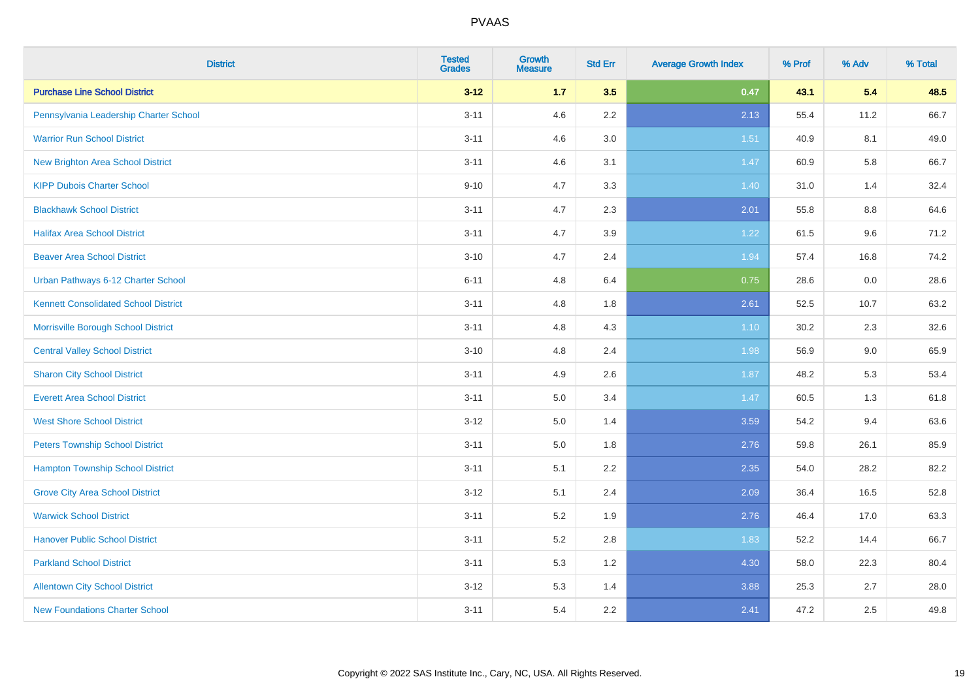| <b>District</b>                             | <b>Tested</b><br><b>Grades</b> | <b>Growth</b><br><b>Measure</b> | <b>Std Err</b> | <b>Average Growth Index</b> | % Prof | % Adv | % Total |
|---------------------------------------------|--------------------------------|---------------------------------|----------------|-----------------------------|--------|-------|---------|
| <b>Purchase Line School District</b>        | $3 - 12$                       | $1.7$                           | 3.5            | 0.47                        | 43.1   | 5.4   | 48.5    |
| Pennsylvania Leadership Charter School      | $3 - 11$                       | 4.6                             | $2.2\,$        | 2.13                        | 55.4   | 11.2  | 66.7    |
| <b>Warrior Run School District</b>          | $3 - 11$                       | 4.6                             | 3.0            | 1.51                        | 40.9   | 8.1   | 49.0    |
| New Brighton Area School District           | $3 - 11$                       | 4.6                             | 3.1            | 1.47                        | 60.9   | 5.8   | 66.7    |
| <b>KIPP Dubois Charter School</b>           | $9 - 10$                       | 4.7                             | 3.3            | 1.40                        | 31.0   | 1.4   | 32.4    |
| <b>Blackhawk School District</b>            | $3 - 11$                       | 4.7                             | 2.3            | 2.01                        | 55.8   | 8.8   | 64.6    |
| <b>Halifax Area School District</b>         | $3 - 11$                       | 4.7                             | 3.9            | 1.22                        | 61.5   | 9.6   | 71.2    |
| <b>Beaver Area School District</b>          | $3 - 10$                       | 4.7                             | 2.4            | 1.94                        | 57.4   | 16.8  | 74.2    |
| Urban Pathways 6-12 Charter School          | $6 - 11$                       | 4.8                             | 6.4            | 0.75                        | 28.6   | 0.0   | 28.6    |
| <b>Kennett Consolidated School District</b> | $3 - 11$                       | 4.8                             | 1.8            | 2.61                        | 52.5   | 10.7  | 63.2    |
| Morrisville Borough School District         | $3 - 11$                       | 4.8                             | 4.3            | $1.10$                      | 30.2   | 2.3   | 32.6    |
| <b>Central Valley School District</b>       | $3 - 10$                       | 4.8                             | 2.4            | 1.98                        | 56.9   | 9.0   | 65.9    |
| <b>Sharon City School District</b>          | $3 - 11$                       | 4.9                             | 2.6            | 1.87                        | 48.2   | 5.3   | 53.4    |
| <b>Everett Area School District</b>         | $3 - 11$                       | 5.0                             | 3.4            | 1.47                        | 60.5   | 1.3   | 61.8    |
| <b>West Shore School District</b>           | $3 - 12$                       | 5.0                             | 1.4            | 3.59                        | 54.2   | 9.4   | 63.6    |
| <b>Peters Township School District</b>      | $3 - 11$                       | 5.0                             | 1.8            | 2.76                        | 59.8   | 26.1  | 85.9    |
| <b>Hampton Township School District</b>     | $3 - 11$                       | 5.1                             | 2.2            | 2.35                        | 54.0   | 28.2  | 82.2    |
| <b>Grove City Area School District</b>      | $3 - 12$                       | 5.1                             | 2.4            | 2.09                        | 36.4   | 16.5  | 52.8    |
| <b>Warwick School District</b>              | $3 - 11$                       | 5.2                             | 1.9            | 2.76                        | 46.4   | 17.0  | 63.3    |
| <b>Hanover Public School District</b>       | $3 - 11$                       | 5.2                             | 2.8            | 1.83                        | 52.2   | 14.4  | 66.7    |
| <b>Parkland School District</b>             | $3 - 11$                       | 5.3                             | 1.2            | 4.30                        | 58.0   | 22.3  | 80.4    |
| <b>Allentown City School District</b>       | $3 - 12$                       | 5.3                             | 1.4            | 3.88                        | 25.3   | 2.7   | 28.0    |
| <b>New Foundations Charter School</b>       | $3 - 11$                       | 5.4                             | 2.2            | 2.41                        | 47.2   | 2.5   | 49.8    |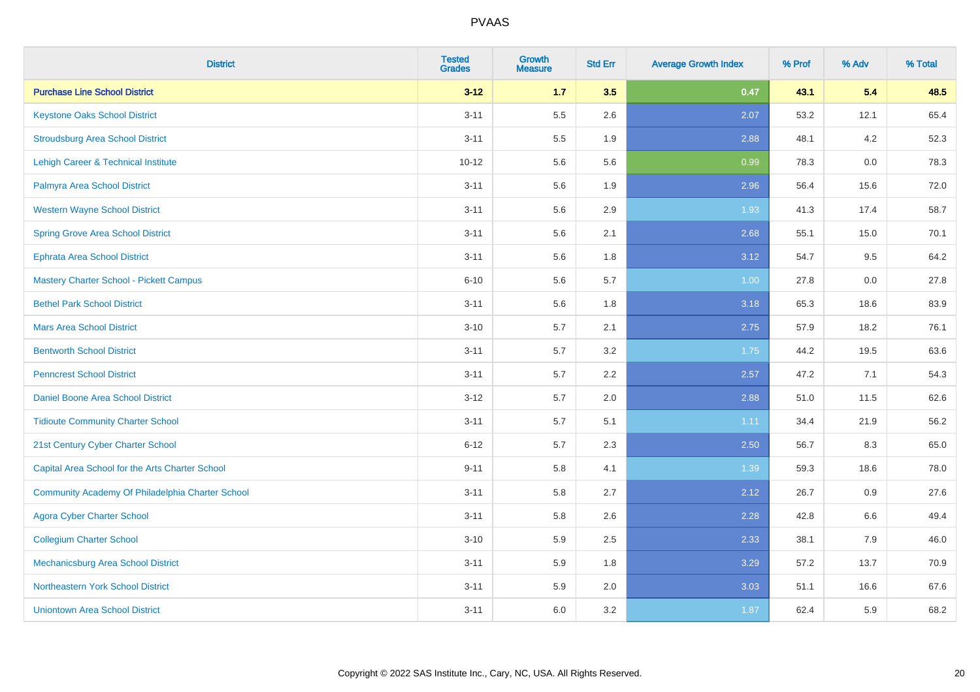| <b>District</b>                                  | <b>Tested</b><br><b>Grades</b> | <b>Growth</b><br><b>Measure</b> | <b>Std Err</b> | <b>Average Growth Index</b> | % Prof | % Adv | % Total |
|--------------------------------------------------|--------------------------------|---------------------------------|----------------|-----------------------------|--------|-------|---------|
| <b>Purchase Line School District</b>             | $3 - 12$                       | $1.7$                           | 3.5            | 0.47                        | 43.1   | 5.4   | 48.5    |
| <b>Keystone Oaks School District</b>             | $3 - 11$                       | 5.5                             | 2.6            | 2.07                        | 53.2   | 12.1  | 65.4    |
| <b>Stroudsburg Area School District</b>          | $3 - 11$                       | 5.5                             | 1.9            | 2.88                        | 48.1   | 4.2   | 52.3    |
| Lehigh Career & Technical Institute              | $10 - 12$                      | 5.6                             | 5.6            | 0.99                        | 78.3   | 0.0   | 78.3    |
| Palmyra Area School District                     | $3 - 11$                       | 5.6                             | 1.9            | 2.96                        | 56.4   | 15.6  | 72.0    |
| <b>Western Wayne School District</b>             | $3 - 11$                       | 5.6                             | 2.9            | 1.93                        | 41.3   | 17.4  | 58.7    |
| <b>Spring Grove Area School District</b>         | $3 - 11$                       | 5.6                             | 2.1            | 2.68                        | 55.1   | 15.0  | 70.1    |
| <b>Ephrata Area School District</b>              | $3 - 11$                       | 5.6                             | 1.8            | 3.12                        | 54.7   | 9.5   | 64.2    |
| <b>Mastery Charter School - Pickett Campus</b>   | $6 - 10$                       | 5.6                             | 5.7            | 1.00                        | 27.8   | 0.0   | 27.8    |
| <b>Bethel Park School District</b>               | $3 - 11$                       | 5.6                             | 1.8            | 3.18                        | 65.3   | 18.6  | 83.9    |
| <b>Mars Area School District</b>                 | $3 - 10$                       | 5.7                             | 2.1            | 2.75                        | 57.9   | 18.2  | 76.1    |
| <b>Bentworth School District</b>                 | $3 - 11$                       | 5.7                             | 3.2            | 1.75                        | 44.2   | 19.5  | 63.6    |
| <b>Penncrest School District</b>                 | $3 - 11$                       | 5.7                             | 2.2            | 2.57                        | 47.2   | 7.1   | 54.3    |
| Daniel Boone Area School District                | $3 - 12$                       | 5.7                             | 2.0            | 2.88                        | 51.0   | 11.5  | 62.6    |
| <b>Tidioute Community Charter School</b>         | $3 - 11$                       | 5.7                             | 5.1            | 1.11                        | 34.4   | 21.9  | 56.2    |
| 21st Century Cyber Charter School                | $6 - 12$                       | 5.7                             | 2.3            | 2.50                        | 56.7   | 8.3   | 65.0    |
| Capital Area School for the Arts Charter School  | $9 - 11$                       | 5.8                             | 4.1            | 1.39                        | 59.3   | 18.6  | 78.0    |
| Community Academy Of Philadelphia Charter School | $3 - 11$                       | 5.8                             | 2.7            | 2.12                        | 26.7   | 0.9   | 27.6    |
| <b>Agora Cyber Charter School</b>                | $3 - 11$                       | 5.8                             | 2.6            | 2.28                        | 42.8   | 6.6   | 49.4    |
| <b>Collegium Charter School</b>                  | $3 - 10$                       | 5.9                             | 2.5            | 2.33                        | 38.1   | 7.9   | 46.0    |
| <b>Mechanicsburg Area School District</b>        | $3 - 11$                       | 5.9                             | 1.8            | 3.29                        | 57.2   | 13.7  | 70.9    |
| Northeastern York School District                | $3 - 11$                       | 5.9                             | 2.0            | 3.03                        | 51.1   | 16.6  | 67.6    |
| <b>Uniontown Area School District</b>            | $3 - 11$                       | 6.0                             | 3.2            | 1.87                        | 62.4   | 5.9   | 68.2    |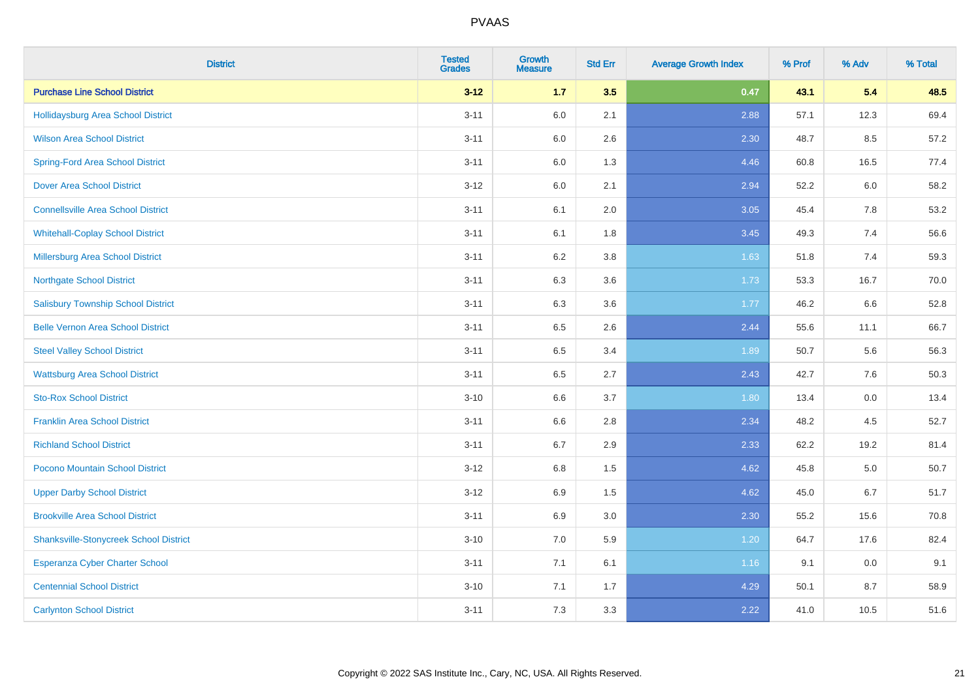| <b>District</b>                               | <b>Tested</b><br><b>Grades</b> | <b>Growth</b><br><b>Measure</b> | <b>Std Err</b> | <b>Average Growth Index</b> | % Prof | % Adv | % Total |
|-----------------------------------------------|--------------------------------|---------------------------------|----------------|-----------------------------|--------|-------|---------|
| <b>Purchase Line School District</b>          | $3 - 12$                       | $1.7$                           | 3.5            | 0.47                        | 43.1   | 5.4   | 48.5    |
| Hollidaysburg Area School District            | $3 - 11$                       | 6.0                             | 2.1            | 2.88                        | 57.1   | 12.3  | 69.4    |
| <b>Wilson Area School District</b>            | $3 - 11$                       | 6.0                             | 2.6            | 2.30                        | 48.7   | 8.5   | 57.2    |
| <b>Spring-Ford Area School District</b>       | $3 - 11$                       | 6.0                             | 1.3            | 4.46                        | 60.8   | 16.5  | 77.4    |
| <b>Dover Area School District</b>             | $3-12$                         | 6.0                             | 2.1            | 2.94                        | 52.2   | 6.0   | 58.2    |
| <b>Connellsville Area School District</b>     | $3 - 11$                       | 6.1                             | 2.0            | 3.05                        | 45.4   | 7.8   | 53.2    |
| <b>Whitehall-Coplay School District</b>       | $3 - 11$                       | 6.1                             | 1.8            | 3.45                        | 49.3   | 7.4   | 56.6    |
| <b>Millersburg Area School District</b>       | $3 - 11$                       | 6.2                             | 3.8            | 1.63                        | 51.8   | 7.4   | 59.3    |
| <b>Northgate School District</b>              | $3 - 11$                       | 6.3                             | 3.6            | 1.73                        | 53.3   | 16.7  | 70.0    |
| <b>Salisbury Township School District</b>     | $3 - 11$                       | 6.3                             | 3.6            | 1.77                        | 46.2   | 6.6   | 52.8    |
| <b>Belle Vernon Area School District</b>      | $3 - 11$                       | 6.5                             | 2.6            | 2.44                        | 55.6   | 11.1  | 66.7    |
| <b>Steel Valley School District</b>           | $3 - 11$                       | 6.5                             | 3.4            | 1.89                        | 50.7   | 5.6   | 56.3    |
| <b>Wattsburg Area School District</b>         | $3 - 11$                       | 6.5                             | 2.7            | 2.43                        | 42.7   | 7.6   | 50.3    |
| <b>Sto-Rox School District</b>                | $3 - 10$                       | 6.6                             | 3.7            | 1.80                        | 13.4   | 0.0   | 13.4    |
| <b>Franklin Area School District</b>          | $3 - 11$                       | 6.6                             | 2.8            | 2.34                        | 48.2   | 4.5   | 52.7    |
| <b>Richland School District</b>               | $3 - 11$                       | 6.7                             | 2.9            | 2.33                        | 62.2   | 19.2  | 81.4    |
| Pocono Mountain School District               | $3 - 12$                       | 6.8                             | 1.5            | 4.62                        | 45.8   | 5.0   | 50.7    |
| <b>Upper Darby School District</b>            | $3-12$                         | 6.9                             | 1.5            | 4.62                        | 45.0   | 6.7   | 51.7    |
| <b>Brookville Area School District</b>        | $3 - 11$                       | 6.9                             | 3.0            | 2.30                        | 55.2   | 15.6  | 70.8    |
| <b>Shanksville-Stonycreek School District</b> | $3 - 10$                       | 7.0                             | 5.9            | 1.20                        | 64.7   | 17.6  | 82.4    |
| <b>Esperanza Cyber Charter School</b>         | $3 - 11$                       | 7.1                             | 6.1            | 1.16                        | 9.1    | 0.0   | 9.1     |
| <b>Centennial School District</b>             | $3 - 10$                       | 7.1                             | 1.7            | 4.29                        | 50.1   | 8.7   | 58.9    |
| <b>Carlynton School District</b>              | $3 - 11$                       | 7.3                             | 3.3            | 2.22                        | 41.0   | 10.5  | 51.6    |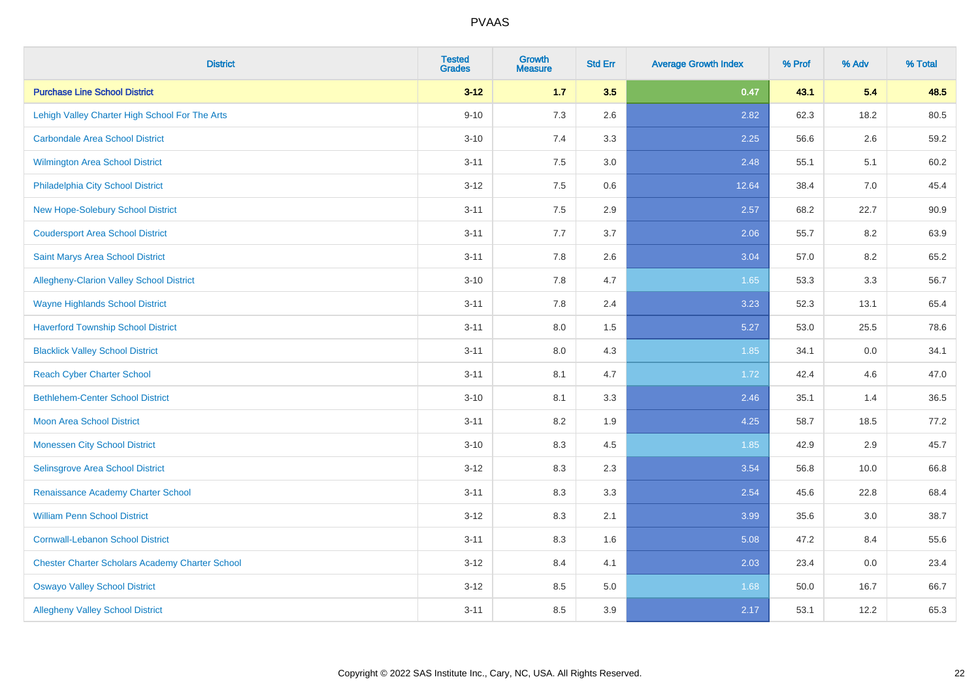| <b>District</b>                                        | <b>Tested</b><br><b>Grades</b> | <b>Growth</b><br><b>Measure</b> | <b>Std Err</b> | <b>Average Growth Index</b> | % Prof | % Adv | % Total |
|--------------------------------------------------------|--------------------------------|---------------------------------|----------------|-----------------------------|--------|-------|---------|
| <b>Purchase Line School District</b>                   | $3 - 12$                       | $1.7$                           | 3.5            | 0.47                        | 43.1   | 5.4   | 48.5    |
| Lehigh Valley Charter High School For The Arts         | $9 - 10$                       | 7.3                             | 2.6            | 2.82                        | 62.3   | 18.2  | 80.5    |
| <b>Carbondale Area School District</b>                 | $3 - 10$                       | 7.4                             | 3.3            | 2.25                        | 56.6   | 2.6   | 59.2    |
| <b>Wilmington Area School District</b>                 | $3 - 11$                       | 7.5                             | 3.0            | 2.48                        | 55.1   | 5.1   | 60.2    |
| Philadelphia City School District                      | $3 - 12$                       | 7.5                             | 0.6            | 12.64                       | 38.4   | 7.0   | 45.4    |
| New Hope-Solebury School District                      | $3 - 11$                       | 7.5                             | 2.9            | 2.57                        | 68.2   | 22.7  | 90.9    |
| <b>Coudersport Area School District</b>                | $3 - 11$                       | 7.7                             | 3.7            | 2.06                        | 55.7   | 8.2   | 63.9    |
| <b>Saint Marys Area School District</b>                | $3 - 11$                       | 7.8                             | 2.6            | 3.04                        | 57.0   | 8.2   | 65.2    |
| Allegheny-Clarion Valley School District               | $3 - 10$                       | 7.8                             | 4.7            | 1.65                        | 53.3   | 3.3   | 56.7    |
| <b>Wayne Highlands School District</b>                 | $3 - 11$                       | 7.8                             | 2.4            | 3.23                        | 52.3   | 13.1  | 65.4    |
| <b>Haverford Township School District</b>              | $3 - 11$                       | 8.0                             | 1.5            | 5.27                        | 53.0   | 25.5  | 78.6    |
| <b>Blacklick Valley School District</b>                | $3 - 11$                       | 8.0                             | 4.3            | 1.85                        | 34.1   | 0.0   | 34.1    |
| <b>Reach Cyber Charter School</b>                      | $3 - 11$                       | 8.1                             | 4.7            | 1.72                        | 42.4   | 4.6   | 47.0    |
| <b>Bethlehem-Center School District</b>                | $3 - 10$                       | 8.1                             | 3.3            | 2.46                        | 35.1   | 1.4   | 36.5    |
| <b>Moon Area School District</b>                       | $3 - 11$                       | 8.2                             | 1.9            | 4.25                        | 58.7   | 18.5  | 77.2    |
| <b>Monessen City School District</b>                   | $3 - 10$                       | 8.3                             | 4.5            | 1.85                        | 42.9   | 2.9   | 45.7    |
| Selinsgrove Area School District                       | $3 - 12$                       | 8.3                             | 2.3            | 3.54                        | 56.8   | 10.0  | 66.8    |
| Renaissance Academy Charter School                     | $3 - 11$                       | 8.3                             | 3.3            | 2.54                        | 45.6   | 22.8  | 68.4    |
| <b>William Penn School District</b>                    | $3 - 12$                       | 8.3                             | 2.1            | 3.99                        | 35.6   | 3.0   | 38.7    |
| <b>Cornwall-Lebanon School District</b>                | $3 - 11$                       | 8.3                             | 1.6            | 5.08                        | 47.2   | 8.4   | 55.6    |
| <b>Chester Charter Scholars Academy Charter School</b> | $3 - 12$                       | 8.4                             | 4.1            | 2.03                        | 23.4   | 0.0   | 23.4    |
| <b>Oswayo Valley School District</b>                   | $3 - 12$                       | 8.5                             | 5.0            | 1.68                        | 50.0   | 16.7  | 66.7    |
| <b>Allegheny Valley School District</b>                | $3 - 11$                       | 8.5                             | 3.9            | 2.17                        | 53.1   | 12.2  | 65.3    |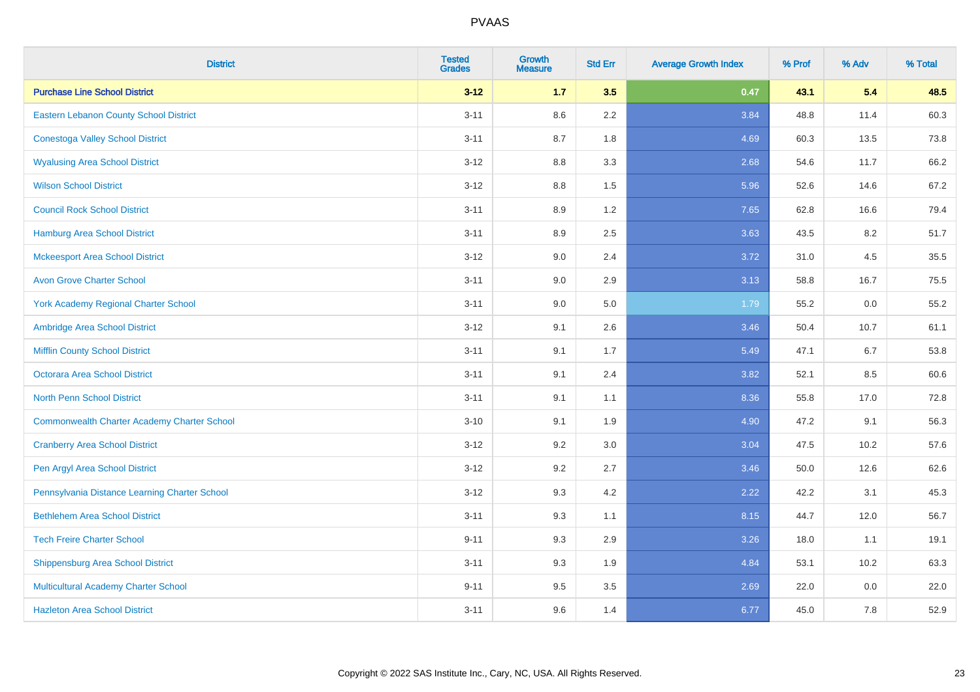| <b>District</b>                                    | <b>Tested</b><br><b>Grades</b> | <b>Growth</b><br><b>Measure</b> | <b>Std Err</b> | <b>Average Growth Index</b> | % Prof | % Adv | % Total |
|----------------------------------------------------|--------------------------------|---------------------------------|----------------|-----------------------------|--------|-------|---------|
| <b>Purchase Line School District</b>               | $3 - 12$                       | $1.7$                           | 3.5            | 0.47                        | 43.1   | 5.4   | 48.5    |
| Eastern Lebanon County School District             | $3 - 11$                       | 8.6                             | 2.2            | 3.84                        | 48.8   | 11.4  | 60.3    |
| <b>Conestoga Valley School District</b>            | $3 - 11$                       | 8.7                             | 1.8            | 4.69                        | 60.3   | 13.5  | 73.8    |
| <b>Wyalusing Area School District</b>              | $3 - 12$                       | 8.8                             | 3.3            | 2.68                        | 54.6   | 11.7  | 66.2    |
| <b>Wilson School District</b>                      | $3 - 12$                       | 8.8                             | 1.5            | 5.96                        | 52.6   | 14.6  | 67.2    |
| <b>Council Rock School District</b>                | $3 - 11$                       | 8.9                             | 1.2            | 7.65                        | 62.8   | 16.6  | 79.4    |
| <b>Hamburg Area School District</b>                | $3 - 11$                       | 8.9                             | 2.5            | 3.63                        | 43.5   | 8.2   | 51.7    |
| <b>Mckeesport Area School District</b>             | $3 - 12$                       | 9.0                             | 2.4            | 3.72                        | 31.0   | 4.5   | 35.5    |
| <b>Avon Grove Charter School</b>                   | $3 - 11$                       | 9.0                             | 2.9            | 3.13                        | 58.8   | 16.7  | 75.5    |
| <b>York Academy Regional Charter School</b>        | $3 - 11$                       | 9.0                             | 5.0            | 1.79                        | 55.2   | 0.0   | 55.2    |
| Ambridge Area School District                      | $3 - 12$                       | 9.1                             | 2.6            | 3.46                        | 50.4   | 10.7  | 61.1    |
| <b>Mifflin County School District</b>              | $3 - 11$                       | 9.1                             | 1.7            | 5.49                        | 47.1   | 6.7   | 53.8    |
| <b>Octorara Area School District</b>               | $3 - 11$                       | 9.1                             | 2.4            | 3.82                        | 52.1   | 8.5   | 60.6    |
| <b>North Penn School District</b>                  | $3 - 11$                       | 9.1                             | 1.1            | 8.36                        | 55.8   | 17.0  | 72.8    |
| <b>Commonwealth Charter Academy Charter School</b> | $3 - 10$                       | 9.1                             | 1.9            | 4.90                        | 47.2   | 9.1   | 56.3    |
| <b>Cranberry Area School District</b>              | $3 - 12$                       | 9.2                             | 3.0            | 3.04                        | 47.5   | 10.2  | 57.6    |
| Pen Argyl Area School District                     | $3 - 12$                       | 9.2                             | 2.7            | 3.46                        | 50.0   | 12.6  | 62.6    |
| Pennsylvania Distance Learning Charter School      | $3 - 12$                       | 9.3                             | 4.2            | 2.22                        | 42.2   | 3.1   | 45.3    |
| <b>Bethlehem Area School District</b>              | $3 - 11$                       | 9.3                             | 1.1            | 8.15                        | 44.7   | 12.0  | 56.7    |
| <b>Tech Freire Charter School</b>                  | $9 - 11$                       | 9.3                             | 2.9            | 3.26                        | 18.0   | 1.1   | 19.1    |
| <b>Shippensburg Area School District</b>           | $3 - 11$                       | 9.3                             | 1.9            | 4.84                        | 53.1   | 10.2  | 63.3    |
| Multicultural Academy Charter School               | $9 - 11$                       | 9.5                             | 3.5            | 2.69                        | 22.0   | 0.0   | 22.0    |
| <b>Hazleton Area School District</b>               | $3 - 11$                       | 9.6                             | 1.4            | 6.77                        | 45.0   | 7.8   | 52.9    |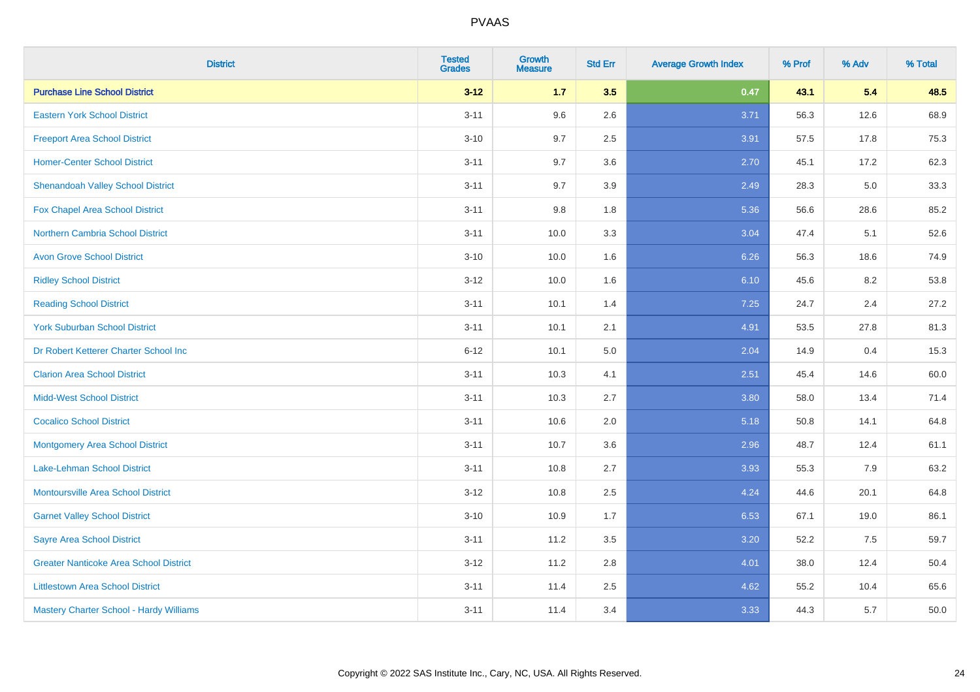| <b>District</b>                               | <b>Tested</b><br><b>Grades</b> | <b>Growth</b><br><b>Measure</b> | <b>Std Err</b> | <b>Average Growth Index</b> | % Prof | % Adv | % Total |
|-----------------------------------------------|--------------------------------|---------------------------------|----------------|-----------------------------|--------|-------|---------|
| <b>Purchase Line School District</b>          | $3 - 12$                       | $1.7$                           | 3.5            | 0.47                        | 43.1   | 5.4   | 48.5    |
| <b>Eastern York School District</b>           | $3 - 11$                       | 9.6                             | 2.6            | 3.71                        | 56.3   | 12.6  | 68.9    |
| <b>Freeport Area School District</b>          | $3 - 10$                       | 9.7                             | 2.5            | 3.91                        | 57.5   | 17.8  | 75.3    |
| <b>Homer-Center School District</b>           | $3 - 11$                       | 9.7                             | 3.6            | 2.70                        | 45.1   | 17.2  | 62.3    |
| <b>Shenandoah Valley School District</b>      | $3 - 11$                       | 9.7                             | 3.9            | 2.49                        | 28.3   | 5.0   | 33.3    |
| <b>Fox Chapel Area School District</b>        | $3 - 11$                       | 9.8                             | 1.8            | 5.36                        | 56.6   | 28.6  | 85.2    |
| <b>Northern Cambria School District</b>       | $3 - 11$                       | 10.0                            | 3.3            | 3.04                        | 47.4   | 5.1   | 52.6    |
| <b>Avon Grove School District</b>             | $3 - 10$                       | 10.0                            | 1.6            | 6.26                        | 56.3   | 18.6  | 74.9    |
| <b>Ridley School District</b>                 | $3 - 12$                       | 10.0                            | 1.6            | 6.10                        | 45.6   | 8.2   | 53.8    |
| <b>Reading School District</b>                | $3 - 11$                       | 10.1                            | 1.4            | 7.25                        | 24.7   | 2.4   | 27.2    |
| <b>York Suburban School District</b>          | $3 - 11$                       | 10.1                            | 2.1            | 4.91                        | 53.5   | 27.8  | 81.3    |
| Dr Robert Ketterer Charter School Inc         | $6 - 12$                       | 10.1                            | 5.0            | 2.04                        | 14.9   | 0.4   | 15.3    |
| <b>Clarion Area School District</b>           | $3 - 11$                       | 10.3                            | 4.1            | 2.51                        | 45.4   | 14.6  | 60.0    |
| <b>Midd-West School District</b>              | $3 - 11$                       | 10.3                            | 2.7            | 3.80                        | 58.0   | 13.4  | 71.4    |
| <b>Cocalico School District</b>               | $3 - 11$                       | 10.6                            | 2.0            | 5.18                        | 50.8   | 14.1  | 64.8    |
| <b>Montgomery Area School District</b>        | $3 - 11$                       | 10.7                            | 3.6            | 2.96                        | 48.7   | 12.4  | 61.1    |
| Lake-Lehman School District                   | $3 - 11$                       | 10.8                            | 2.7            | 3.93                        | 55.3   | 7.9   | 63.2    |
| <b>Montoursville Area School District</b>     | $3 - 12$                       | 10.8                            | 2.5            | 4.24                        | 44.6   | 20.1  | 64.8    |
| <b>Garnet Valley School District</b>          | $3 - 10$                       | 10.9                            | 1.7            | 6.53                        | 67.1   | 19.0  | 86.1    |
| <b>Sayre Area School District</b>             | $3 - 11$                       | 11.2                            | 3.5            | 3.20                        | 52.2   | 7.5   | 59.7    |
| <b>Greater Nanticoke Area School District</b> | $3-12$                         | 11.2                            | 2.8            | 4.01                        | 38.0   | 12.4  | 50.4    |
| <b>Littlestown Area School District</b>       | $3 - 11$                       | 11.4                            | 2.5            | 4.62                        | 55.2   | 10.4  | 65.6    |
| Mastery Charter School - Hardy Williams       | $3 - 11$                       | 11.4                            | 3.4            | 3.33                        | 44.3   | 5.7   | 50.0    |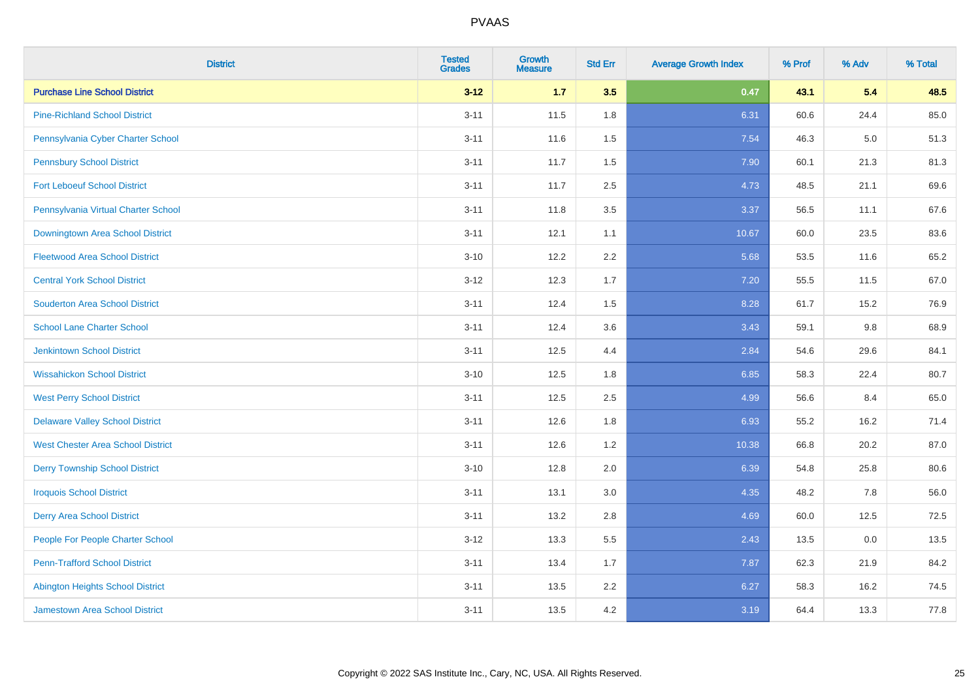| <b>District</b>                          | <b>Tested</b><br><b>Grades</b> | Growth<br><b>Measure</b> | <b>Std Err</b> | <b>Average Growth Index</b> | % Prof | % Adv   | % Total |
|------------------------------------------|--------------------------------|--------------------------|----------------|-----------------------------|--------|---------|---------|
| <b>Purchase Line School District</b>     | $3 - 12$                       | 1.7                      | 3.5            | 0.47                        | 43.1   | 5.4     | 48.5    |
| <b>Pine-Richland School District</b>     | $3 - 11$                       | 11.5                     | 1.8            | 6.31                        | 60.6   | 24.4    | 85.0    |
| Pennsylvania Cyber Charter School        | $3 - 11$                       | 11.6                     | 1.5            | 7.54                        | 46.3   | $5.0\,$ | 51.3    |
| <b>Pennsbury School District</b>         | $3 - 11$                       | 11.7                     | 1.5            | 7.90                        | 60.1   | 21.3    | 81.3    |
| <b>Fort Leboeuf School District</b>      | $3 - 11$                       | 11.7                     | 2.5            | 4.73                        | 48.5   | 21.1    | 69.6    |
| Pennsylvania Virtual Charter School      | $3 - 11$                       | 11.8                     | 3.5            | 3.37                        | 56.5   | 11.1    | 67.6    |
| Downingtown Area School District         | $3 - 11$                       | 12.1                     | 1.1            | 10.67                       | 60.0   | 23.5    | 83.6    |
| <b>Fleetwood Area School District</b>    | $3 - 10$                       | 12.2                     | 2.2            | 5.68                        | 53.5   | 11.6    | 65.2    |
| <b>Central York School District</b>      | $3 - 12$                       | 12.3                     | 1.7            | 7.20                        | 55.5   | 11.5    | 67.0    |
| <b>Souderton Area School District</b>    | $3 - 11$                       | 12.4                     | 1.5            | 8.28                        | 61.7   | 15.2    | 76.9    |
| <b>School Lane Charter School</b>        | $3 - 11$                       | 12.4                     | 3.6            | 3.43                        | 59.1   | 9.8     | 68.9    |
| <b>Jenkintown School District</b>        | $3 - 11$                       | 12.5                     | 4.4            | 2.84                        | 54.6   | 29.6    | 84.1    |
| <b>Wissahickon School District</b>       | $3 - 10$                       | 12.5                     | 1.8            | 6.85                        | 58.3   | 22.4    | 80.7    |
| <b>West Perry School District</b>        | $3 - 11$                       | 12.5                     | 2.5            | 4.99                        | 56.6   | 8.4     | 65.0    |
| <b>Delaware Valley School District</b>   | $3 - 11$                       | 12.6                     | 1.8            | 6.93                        | 55.2   | 16.2    | 71.4    |
| <b>West Chester Area School District</b> | $3 - 11$                       | 12.6                     | 1.2            | 10.38                       | 66.8   | 20.2    | 87.0    |
| <b>Derry Township School District</b>    | $3 - 10$                       | 12.8                     | 2.0            | 6.39                        | 54.8   | 25.8    | 80.6    |
| <b>Iroquois School District</b>          | $3 - 11$                       | 13.1                     | 3.0            | 4.35                        | 48.2   | 7.8     | 56.0    |
| <b>Derry Area School District</b>        | $3 - 11$                       | 13.2                     | 2.8            | 4.69                        | 60.0   | 12.5    | 72.5    |
| People For People Charter School         | $3 - 12$                       | 13.3                     | 5.5            | 2.43                        | 13.5   | 0.0     | 13.5    |
| <b>Penn-Trafford School District</b>     | $3 - 11$                       | 13.4                     | 1.7            | 7.87                        | 62.3   | 21.9    | 84.2    |
| <b>Abington Heights School District</b>  | $3 - 11$                       | 13.5                     | 2.2            | 6.27                        | 58.3   | 16.2    | 74.5    |
| <b>Jamestown Area School District</b>    | $3 - 11$                       | 13.5                     | 4.2            | 3.19                        | 64.4   | 13.3    | 77.8    |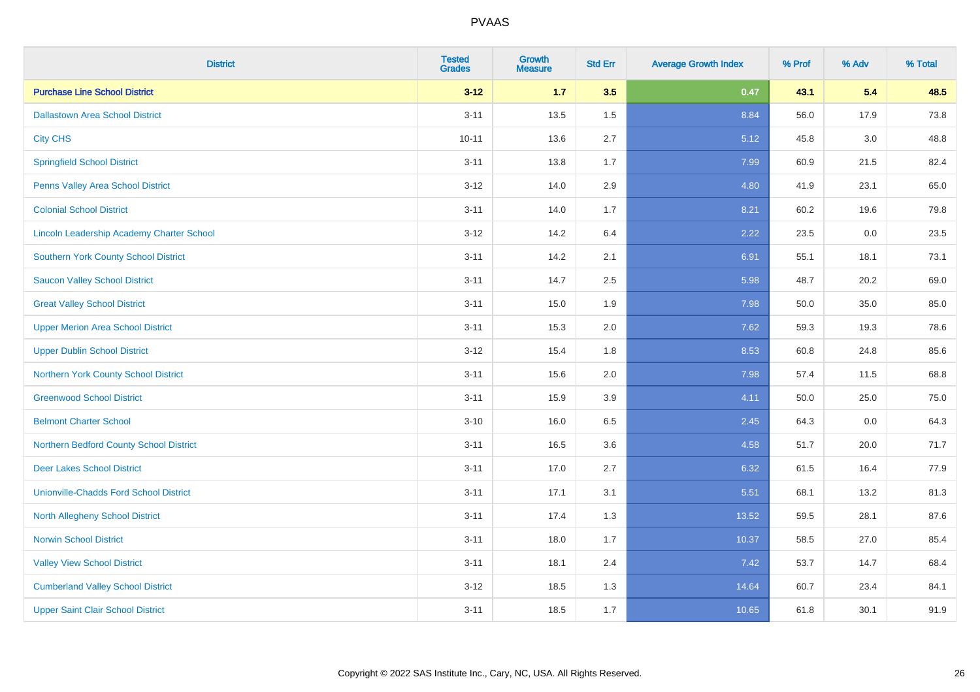| <b>District</b>                                  | <b>Tested</b><br><b>Grades</b> | <b>Growth</b><br><b>Measure</b> | <b>Std Err</b> | <b>Average Growth Index</b> | % Prof | % Adv   | % Total |
|--------------------------------------------------|--------------------------------|---------------------------------|----------------|-----------------------------|--------|---------|---------|
| <b>Purchase Line School District</b>             | $3 - 12$                       | $1.7$                           | 3.5            | 0.47                        | 43.1   | 5.4     | 48.5    |
| <b>Dallastown Area School District</b>           | $3 - 11$                       | 13.5                            | 1.5            | 8.84                        | 56.0   | 17.9    | 73.8    |
| <b>City CHS</b>                                  | $10 - 11$                      | 13.6                            | 2.7            | 5.12                        | 45.8   | 3.0     | 48.8    |
| <b>Springfield School District</b>               | $3 - 11$                       | 13.8                            | 1.7            | 7.99                        | 60.9   | 21.5    | 82.4    |
| Penns Valley Area School District                | $3 - 12$                       | 14.0                            | 2.9            | 4.80                        | 41.9   | 23.1    | 65.0    |
| <b>Colonial School District</b>                  | $3 - 11$                       | 14.0                            | 1.7            | 8.21                        | 60.2   | 19.6    | 79.8    |
| <b>Lincoln Leadership Academy Charter School</b> | $3 - 12$                       | 14.2                            | 6.4            | 2.22                        | 23.5   | $0.0\,$ | 23.5    |
| <b>Southern York County School District</b>      | $3 - 11$                       | 14.2                            | 2.1            | 6.91                        | 55.1   | 18.1    | 73.1    |
| <b>Saucon Valley School District</b>             | $3 - 11$                       | 14.7                            | 2.5            | 5.98                        | 48.7   | 20.2    | 69.0    |
| <b>Great Valley School District</b>              | $3 - 11$                       | 15.0                            | 1.9            | 7.98                        | 50.0   | 35.0    | 85.0    |
| <b>Upper Merion Area School District</b>         | $3 - 11$                       | 15.3                            | 2.0            | 7.62                        | 59.3   | 19.3    | 78.6    |
| <b>Upper Dublin School District</b>              | $3 - 12$                       | 15.4                            | 1.8            | 8.53                        | 60.8   | 24.8    | 85.6    |
| Northern York County School District             | $3 - 11$                       | 15.6                            | 2.0            | 7.98                        | 57.4   | 11.5    | 68.8    |
| <b>Greenwood School District</b>                 | $3 - 11$                       | 15.9                            | 3.9            | 4.11                        | 50.0   | 25.0    | 75.0    |
| <b>Belmont Charter School</b>                    | $3 - 10$                       | 16.0                            | 6.5            | 2.45                        | 64.3   | 0.0     | 64.3    |
| Northern Bedford County School District          | $3 - 11$                       | 16.5                            | 3.6            | 4.58                        | 51.7   | 20.0    | 71.7    |
| <b>Deer Lakes School District</b>                | $3 - 11$                       | 17.0                            | 2.7            | 6.32                        | 61.5   | 16.4    | 77.9    |
| <b>Unionville-Chadds Ford School District</b>    | $3 - 11$                       | 17.1                            | 3.1            | 5.51                        | 68.1   | 13.2    | 81.3    |
| <b>North Allegheny School District</b>           | $3 - 11$                       | 17.4                            | 1.3            | 13.52                       | 59.5   | 28.1    | 87.6    |
| <b>Norwin School District</b>                    | $3 - 11$                       | 18.0                            | 1.7            | 10.37                       | 58.5   | 27.0    | 85.4    |
| <b>Valley View School District</b>               | $3 - 11$                       | 18.1                            | 2.4            | 7.42                        | 53.7   | 14.7    | 68.4    |
| <b>Cumberland Valley School District</b>         | $3 - 12$                       | 18.5                            | 1.3            | 14.64                       | 60.7   | 23.4    | 84.1    |
| <b>Upper Saint Clair School District</b>         | $3 - 11$                       | 18.5                            | 1.7            | 10.65                       | 61.8   | 30.1    | 91.9    |